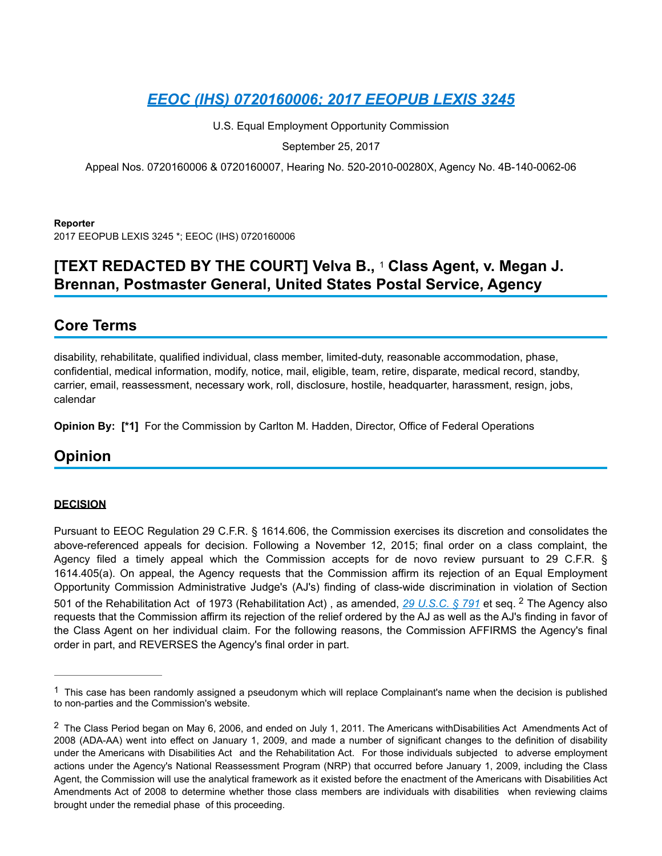U.S. Equal Employment Opportunity Commission

<span id="page-0-2"></span>September 25, 2017

Appeal Nos. 0720160006 & 0720160007, Hearing No. 520-2010-00280X, Agency No. 4B-140-0062-06

#### **Reporter**

2017 EEOPUB LEXIS 3245 \*; EEOC (IHS) 0720160006

# **[TEXT REDACTED BY THE COURT] Velva B., 1 Class Agent, v. Megan J. Brennan, Postmaster General, United States Postal Service, Agency**

## **Core Terms**

disability, rehabilitate, qualified individual, class member, limited-duty, reasonable accommodation, phase, confidential, medical information, modify, notice, mail, eligible, team, retire, disparate, medical record, standby, carrier, email, reassessment, necessary work, roll, disclosure, hostile, headquarter, harassment, resign, jobs, calendar

**Opinion By: [\*1]** For the Commission by Carlton M. Hadden, Director, Office of Federal Operations

## **Opinion**

## **DECISION**

<span id="page-0-3"></span>Pursuant to EEOC Regulation 29 C.F.R. § 1614.606, the Commission exercises its discretion and consolidates the above-referenced appeals for decision. Following a November 12, 2015; final order on a class complaint, the Agency filed a timely appeal which the Commission accepts for de novo review pursuant to 29 C.F.R. § 1614.405(a). On appeal, the Agency requests that the Commission affirm its rejection of an Equal Employment Opportunity Commission Administrative Judge's (AJ's) finding of class-wide discrimination in violation of Section 501of the Rehabilitation Act of 1973 (Rehabilitation Act), as amended, [2](#page-0-1)9 U.S.C. § 791 et seq. <sup>2</sup> The Agency also requests that the Commission affirm its rejection of the relief ordered by the AJ as well as the AJ's finding in favor of the Class Agent on her individual claim. For the following reasons, the Commission AFFIRMS the Agency's final order in part, and REVERSES the Agency's final order in part.

<span id="page-0-0"></span> $1$  This case has been randomly assigned a pseudonym which will replace Complainant's name when the decision is published to non-parties and the Commission's website.

<span id="page-0-1"></span> $2$  The Class Period began on May 6, 2006, and ended on July 1, 2011. The Americans withDisabilities Act Amendments Act of 2008 (ADA-AA) went into effect on January 1, 2009, and made a number of significant changes to the definition of disability under the Americans with Disabilities Act and the Rehabilitation Act. For those individuals subjected to adverse employment actions under the Agency's National Reassessment Program (NRP) that occurred before January 1, 2009, including the Class Agent, the Commission will use the analytical framework as it existed before the enactment of the Americans with Disabilities Act Amendments Act of 2008 to determine whether those class members are individuals with disabilities when reviewing claims brought under the remedial phase of this proceeding.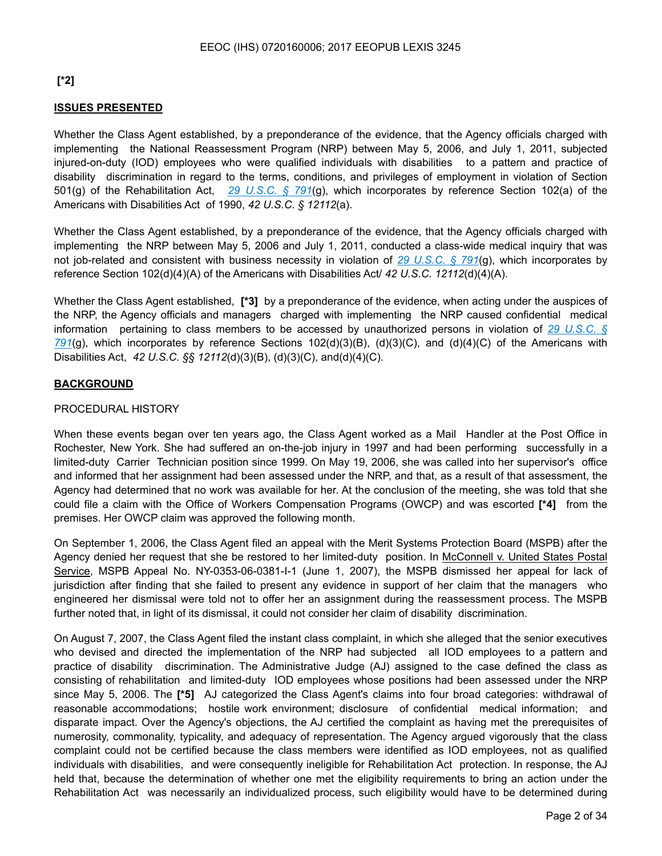## **[\*2]**

## **ISSUES PRESENTED**

Whether the Class Agent established, by a preponderance of the evidence, that the Agency officials charged with implementing the National Reassessment Program (NRP) between May 5, 2006, and July 1, 2011, subjected injured-on-duty (IOD) employees who were qualified individuals with disabilities to a pattern and practice of disability discrimination in regard to the terms, conditions, and privileges of employment in violation of Section 501(g) of the Rehabilitation Act, *29 U.S.C. § 791*(g), which incorporates by reference Section 102(a) of the Americans with Disabilities Act of 1990, *42 U.S.C. § 12112*(a).

Whether the Class Agent established, by a preponderance of the evidence, that the Agency officials charged with implementing the NRP between May 5, 2006 and July 1, 2011, conducted a class-wide medical inquiry that was not job-related and consistent with business necessity in violation of *29 U.S.C. § 791*(g), which incorporates by reference Section 102(d)(4)(A) of the Americans with Disabilities Act/ *42 U.S.C. 12112*(d)(4)(A).

Whether the Class Agent established, **[\*3]** by a preponderance of the evidence, when acting under the auspices of the NRP, the Agency officials and managers charged with implementing the NRP caused confidential medical information pertaining to class members to be accessed by unauthorized persons in violation of *29 U.S.C. § 791*(g), which incorporates by reference Sections 102(d)(3)(B), (d)(3)(C), and (d)(4)(C) of the Americans with Disabilities Act, *42 U.S.C. §§ 12112*(d)(3)(B), (d)(3)(C), and(d)(4)(C).

## **BACKGROUND**

#### PROCEDURAL HISTORY

When these events began over ten years ago, the Class Agent worked as a Mail Handler at the Post Office in Rochester, New York. She had suffered an on-the-job injury in 1997 and had been performing successfully in a limited-duty Carrier Technician position since 1999. On May 19, 2006, she was called into her supervisor's office and informed that her assignment had been assessed under the NRP, and that, as a result of that assessment, the Agency had determined that no work was available for her. At the conclusion of the meeting, she was told that she could file a claim with the Office of Workers Compensation Programs (OWCP) and was escorted **[\*4]** from the premises. Her OWCP claim was approved the following month.

On September 1, 2006, the Class Agent filed an appeal with the Merit Systems Protection Board (MSPB) after the Agency denied her request that she be restored to her limited-duty position. In McConnell v. United States Postal Service, MSPB Appeal No. NY-0353-06-0381-l-1 (June 1, 2007), the MSPB dismissed her appeal for lack of jurisdiction after finding that she failed to present any evidence in support of her claim that the managers who engineered her dismissal were told not to offer her an assignment during the reassessment process. The MSPB further noted that, in light of its dismissal, it could not consider her claim of disability discrimination.

On August 7, 2007, the Class Agent filed the instant class complaint, in which she alleged that the senior executives who devised and directed the implementation of the NRP had subjected all IOD employees to a pattern and practice of disability discrimination. The Administrative Judge (AJ) assigned to the case defined the class as consisting of rehabilitation and limited-duty IOD employees whose positions had been assessed under the NRP since May 5, 2006. The **[\*5]** AJ categorized the Class Agent's claims into four broad categories: withdrawal of reasonable accommodations; hostile work environment; disclosure of confidential medical information; and disparate impact. Over the Agency's objections, the AJ certified the complaint as having met the prerequisites of numerosity, commonality, typicality, and adequacy of representation. The Agency argued vigorously that the class complaint could not be certified because the class members were identified as IOD employees, not as qualified individuals with disabilities, and were consequently ineligible for Rehabilitation Act protection. In response, the AJ held that, because the determination of whether one met the eligibility requirements to bring an action under the Rehabilitation Act was necessarily an individualized process, such eligibility would have to be determined during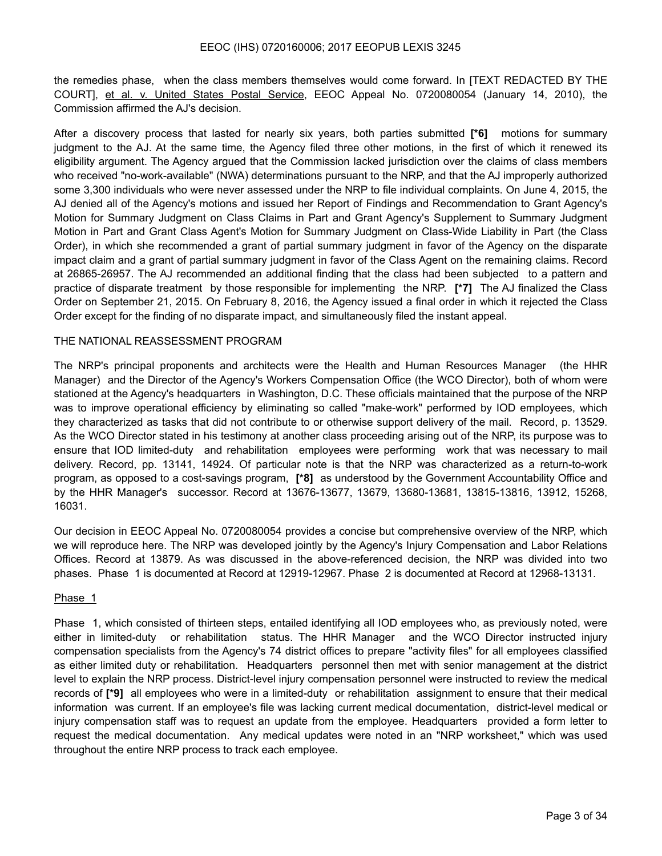the remedies phase, when the class members themselves would come forward. In [TEXT REDACTED BY THE COURT], et al. v. United States Postal Service, EEOC Appeal No. 0720080054 (January 14, 2010), the Commission affirmed the AJ's decision.

After a discovery process that lasted for nearly six years, both parties submitted **[\*6]** motions for summary judgment to the AJ. At the same time, the Agency filed three other motions, in the first of which it renewed its eligibility argument. The Agency argued that the Commission lacked jurisdiction over the claims of class members who received "no-work-available" (NWA) determinations pursuant to the NRP, and that the AJ improperly authorized some 3,300 individuals who were never assessed under the NRP to file individual complaints. On June 4, 2015, the AJ denied all of the Agency's motions and issued her Report of Findings and Recommendation to Grant Agency's Motion for Summary Judgment on Class Claims in Part and Grant Agency's Supplement to Summary Judgment Motion in Part and Grant Class Agent's Motion for Summary Judgment on Class-Wide Liability in Part (the Class Order), in which she recommended a grant of partial summary judgment in favor of the Agency on the disparate impact claim and a grant of partial summary judgment in favor of the Class Agent on the remaining claims. Record at 26865-26957. The AJ recommended an additional finding that the class had been subjected to a pattern and practice of disparate treatment by those responsible for implementing the NRP. **[\*7]** The AJ finalized the Class Order on September 21, 2015. On February 8, 2016, the Agency issued a final order in which it rejected the Class Order except for the finding of no disparate impact, and simultaneously filed the instant appeal.

#### THE NATIONAL REASSESSMENT PROGRAM

The NRP's principal proponents and architects were the Health and Human Resources Manager (the HHR Manager) and the Director of the Agency's Workers Compensation Office (the WCO Director), both of whom were stationed at the Agency's headquarters in Washington, D.C. These officials maintained that the purpose of the NRP was to improve operational efficiency by eliminating so called "make-work" performed by IOD employees, which they characterized as tasks that did not contribute to or otherwise support delivery of the mail. Record, p. 13529. As the WCO Director stated in his testimony at another class proceeding arising out of the NRP, its purpose was to ensure that IOD limited-duty and rehabilitation employees were performing work that was necessary to mail delivery. Record, pp. 13141, 14924. Of particular note is that the NRP was characterized as a return-to-work program, as opposed to a cost-savings program, **[\*8]** as understood by the Government Accountability Office and by the HHR Manager's successor. Record at 13676-13677, 13679, 13680-13681, 13815-13816, 13912, 15268, 16031.

Our decision in EEOC Appeal No. 0720080054 provides a concise but comprehensive overview of the NRP, which we will reproduce here. The NRP was developed jointly by the Agency's Injury Compensation and Labor Relations Offices. Record at 13879. As was discussed in the above-referenced decision, the NRP was divided into two phases. Phase 1 is documented at Record at 12919-12967. Phase 2 is documented at Record at 12968-13131.

#### Phase 1

Phase 1, which consisted of thirteen steps, entailed identifying all IOD employees who, as previously noted, were either in limited-duty or rehabilitation status. The HHR Manager and the WCO Director instructed injury compensation specialists from the Agency's 74 district offices to prepare "activity files" for all employees classified as either limited duty or rehabilitation. Headquarters personnel then met with senior management at the district level to explain the NRP process. District-level injury compensation personnel were instructed to review the medical records of **[\*9]** all employees who were in a limited-duty or rehabilitation assignment to ensure that their medical information was current. If an employee's file was lacking current medical documentation, district-level medical or injury compensation staff was to request an update from the employee. Headquarters provided a form letter to request the medical documentation. Any medical updates were noted in an "NRP worksheet," which was used throughout the entire NRP process to track each employee.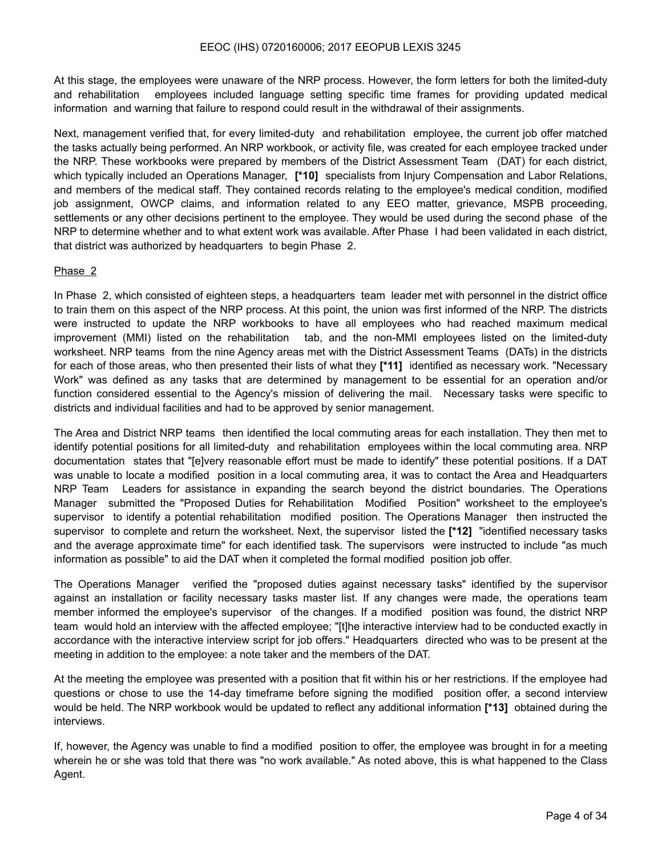At this stage, the employees were unaware of the NRP process. However, the form letters for both the limited-duty and rehabilitation employees included language setting specific time frames for providing updated medical information and warning that failure to respond could result in the withdrawal of their assignments.

Next, management verified that, for every limited-duty and rehabilitation employee, the current job offer matched the tasks actually being performed. An NRP workbook, or activity file, was created for each employee tracked under the NRP. These workbooks were prepared by members of the District Assessment Team (DAT) for each district, which typically included an Operations Manager, **[\*10]** specialists from Injury Compensation and Labor Relations, and members of the medical staff. They contained records relating to the employee's medical condition, modified job assignment, OWCP claims, and information related to any EEO matter, grievance, MSPB proceeding, settlements or any other decisions pertinent to the employee. They would be used during the second phase of the NRP to determine whether and to what extent work was available. After Phase I had been validated in each district, that district was authorized by headquarters to begin Phase 2.

#### Phase 2

In Phase 2, which consisted of eighteen steps, a headquarters team leader met with personnel in the district office to train them on this aspect of the NRP process. At this point, the union was first informed of the NRP. The districts were instructed to update the NRP workbooks to have all employees who had reached maximum medical improvement (MMI) listed on the rehabilitation tab, and the non-MMI employees listed on the limited-duty worksheet. NRP teams from the nine Agency areas met with the District Assessment Teams (DATs) in the districts for each of those areas, who then presented their lists of what they **[\*11]** identified as necessary work. "Necessary Work" was defined as any tasks that are determined by management to be essential for an operation and/or function considered essential to the Agency's mission of delivering the mail. Necessary tasks were specific to districts and individual facilities and had to be approved by senior management.

The Area and District NRP teams then identified the local commuting areas for each installation. They then met to identify potential positions for all limited-duty and rehabilitation employees within the local commuting area. NRP documentation states that "[e]very reasonable effort must be made to identify" these potential positions. If a DAT was unable to locate a modified position in a local commuting area, it was to contact the Area and Headquarters NRP Team Leaders for assistance in expanding the search beyond the district boundaries. The Operations Manager submitted the "Proposed Duties for Rehabilitation Modified Position" worksheet to the employee's supervisor to identify a potential rehabilitation modified position. The Operations Manager then instructed the supervisor to complete and return the worksheet. Next, the supervisor listed the **[\*12]** "identified necessary tasks and the average approximate time" for each identified task. The supervisors were instructed to include "as much information as possible" to aid the DAT when it completed the formal modified position job offer.

The Operations Manager verified the "proposed duties against necessary tasks" identified by the supervisor against an installation or facility necessary tasks master list. If any changes were made, the operations team member informed the employee's supervisor of the changes. If a modified position was found, the district NRP team would hold an interview with the affected employee; "[t]he interactive interview had to be conducted exactly in accordance with the interactive interview script for job offers." Headquarters directed who was to be present at the meeting in addition to the employee: a note taker and the members of the DAT.

At the meeting the employee was presented with a position that fit within his or her restrictions. If the employee had questions or chose to use the 14-day timeframe before signing the modified position offer, a second interview would be held. The NRP workbook would be updated to reflect any additional information **[\*13]** obtained during the interviews.

If, however, the Agency was unable to find a modified position to offer, the employee was brought in for a meeting wherein he or she was told that there was "no work available." As noted above, this is what happened to the Class Agent.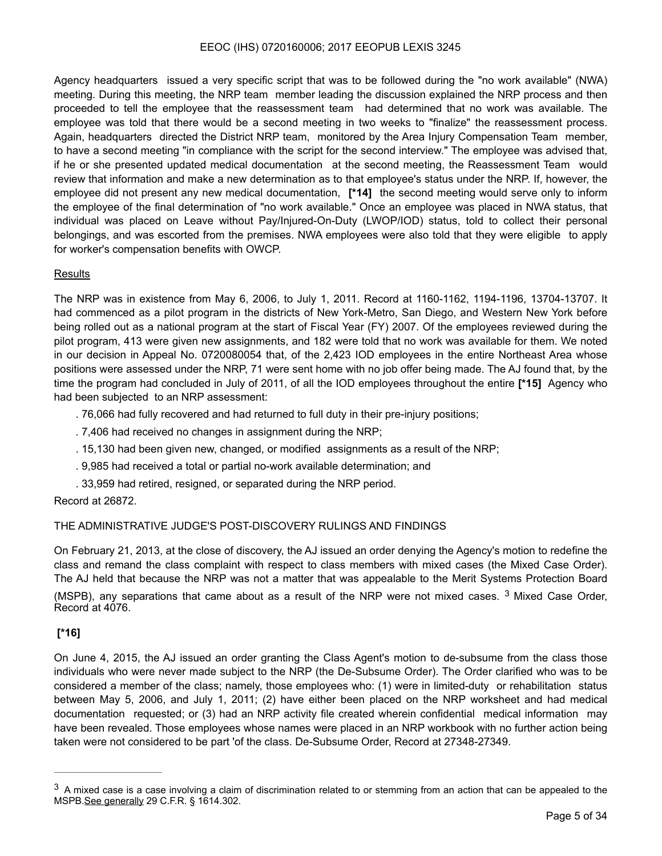Agency headquarters issued a very specific script that was to be followed during the "no work available" (NWA) meeting. During this meeting, the NRP team member leading the discussion explained the NRP process and then proceeded to tell the employee that the reassessment team had determined that no work was available. The employee was told that there would be a second meeting in two weeks to "finalize" the reassessment process. Again, headquarters directed the District NRP team, monitored by the Area Injury Compensation Team member, to have a second meeting "in compliance with the script for the second interview." The employee was advised that, if he or she presented updated medical documentation at the second meeting, the Reassessment Team would review that information and make a new determination as to that employee's status under the NRP. If, however, the employee did not present any new medical documentation, **[\*14]** the second meeting would serve only to inform the employee of the final determination of "no work available." Once an employee was placed in NWA status, that individual was placed on Leave without Pay/Injured-On-Duty (LWOP/IOD) status, told to collect their personal belongings, and was escorted from the premises. NWA employees were also told that they were eligible to apply for worker's compensation benefits with OWCP.

## **Results**

The NRP was in existence from May 6, 2006, to July 1, 2011. Record at 1160-1162, 1194-1196, 13704-13707. It had commenced as a pilot program in the districts of New York-Metro, San Diego, and Western New York before being rolled out as a national program at the start of Fiscal Year (FY) 2007. Of the employees reviewed during the pilot program, 413 were given new assignments, and 182 were told that no work was available for them. We noted in our decision in Appeal No. 0720080054 that, of the 2,423 IOD employees in the entire Northeast Area whose positions were assessed under the NRP, 71 were sent home with no job offer being made. The AJ found that, by the time the program had concluded in July of 2011, of all the IOD employees throughout the entire **[\*15]** Agency who had been subjected to an NRP assessment:

. 76,066 had fully recovered and had returned to full duty in their pre-injury positions;

- . 7,406 had received no changes in assignment during the NRP;
- . 15,130 had been given new, changed, or modified assignments as a result of the NRP;
- . 9,985 had received a total or partial no-work available determination; and
- <span id="page-4-1"></span>. 33,959 had retired, resigned, or separated during the NRP period.

## Record at 26872.

## THE ADMINISTRATIVE JUDGE'S POST-DISCOVERY RULINGS AND FINDINGS

On February 21, 2013, at the close of discovery, the AJ issued an order denying the Agency's motion to redefine the class and remand the class complaint with respect to class members with mixed cases (the Mixed Case Order). The AJ held that because the NRP was not a matter that was appealable to the Merit Systems Protection Board (MSPB), any separations that came about as a result of the NRP were not mixed cases.  $3$  Mixed Case Order, Record at 4076.

## **[\*16]**

On June 4, 2015, the AJ issued an order granting the Class Agent's motion to de-subsume from the class those individuals who were never made subject to the NRP (the De-Subsume Order). The Order clarified who was to be considered a member of the class; namely, those employees who: (1) were in limited-duty or rehabilitation status between May 5, 2006, and July 1, 2011; (2) have either been placed on the NRP worksheet and had medical documentation requested; or (3) had an NRP activity file created wherein confidential medical information may have been revealed. Those employees whose names were placed in an NRP workbook with no further action being taken were not considered to be part 'of the class. De-Subsume Order, Record at 27348-27349.

<span id="page-4-0"></span> $3$  A mixed case is a case involving a claim of discrimination related to or stemming from an action that can be appealed to the MSPB.See generally 29 C.F.R. § 1614.302.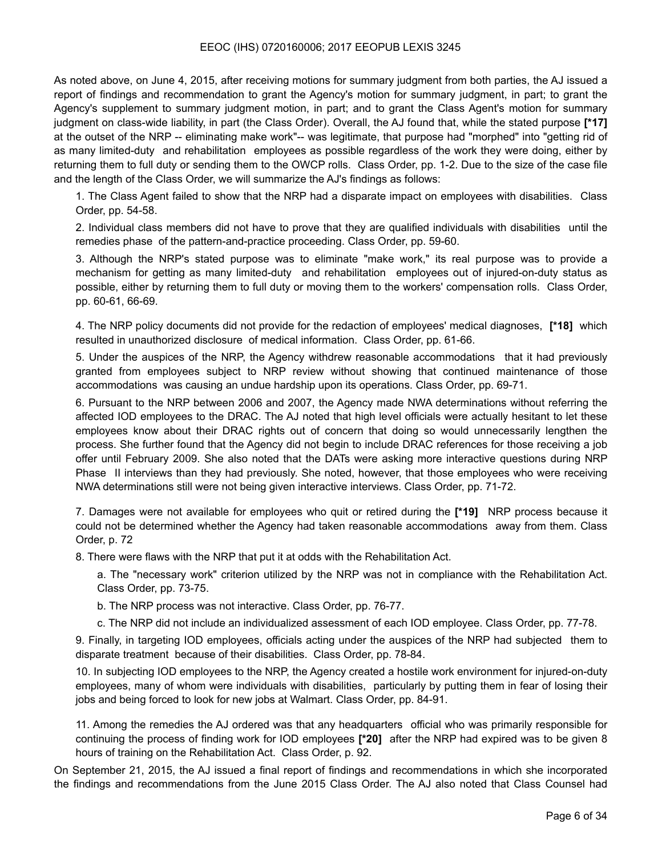As noted above, on June 4, 2015, after receiving motions for summary judgment from both parties, the AJ issued a report of findings and recommendation to grant the Agency's motion for summary judgment, in part; to grant the Agency's supplement to summary judgment motion, in part; and to grant the Class Agent's motion for summary judgment on class-wide liability, in part (the Class Order). Overall, the AJ found that, while the stated purpose **[\*17]**  at the outset of the NRP -- eliminating make work"-- was legitimate, that purpose had "morphed" into "getting rid of as many limited-duty and rehabilitation employees as possible regardless of the work they were doing, either by returning them to full duty or sending them to the OWCP rolls. Class Order, pp. 1-2. Due to the size of the case file and the length of the Class Order, we will summarize the AJ's findings as follows:

1. The Class Agent failed to show that the NRP had a disparate impact on employees with disabilities. Class Order, pp. 54-58.

2. Individual class members did not have to prove that they are qualified individuals with disabilities until the remedies phase of the pattern-and-practice proceeding. Class Order, pp. 59-60.

3. Although the NRP's stated purpose was to eliminate "make work," its real purpose was to provide a mechanism for getting as many limited-duty and rehabilitation employees out of injured-on-duty status as possible, either by returning them to full duty or moving them to the workers' compensation rolls. Class Order, pp. 60-61, 66-69.

4. The NRP policy documents did not provide for the redaction of employees' medical diagnoses, **[\*18]** which resulted in unauthorized disclosure of medical information. Class Order, pp. 61-66.

5. Under the auspices of the NRP, the Agency withdrew reasonable accommodations that it had previously granted from employees subject to NRP review without showing that continued maintenance of those accommodations was causing an undue hardship upon its operations. Class Order, pp. 69-71.

6. Pursuant to the NRP between 2006 and 2007, the Agency made NWA determinations without referring the affected IOD employees to the DRAC. The AJ noted that high level officials were actually hesitant to let these employees know about their DRAC rights out of concern that doing so would unnecessarily lengthen the process. She further found that the Agency did not begin to include DRAC references for those receiving a job offer until February 2009. She also noted that the DATs were asking more interactive questions during NRP Phase II interviews than they had previously. She noted, however, that those employees who were receiving NWA determinations still were not being given interactive interviews. Class Order, pp. 71-72.

7. Damages were not available for employees who quit or retired during the **[\*19]** NRP process because it could not be determined whether the Agency had taken reasonable accommodations away from them. Class Order, p. 72

8. There were flaws with the NRP that put it at odds with the Rehabilitation Act.

a. The "necessary work" criterion utilized by the NRP was not in compliance with the Rehabilitation Act. Class Order, pp. 73-75.

b. The NRP process was not interactive. Class Order, pp. 76-77.

c. The NRP did not include an individualized assessment of each IOD employee. Class Order, pp. 77-78.

9. Finally, in targeting IOD employees, officials acting under the auspices of the NRP had subjected them to disparate treatment because of their disabilities. Class Order, pp. 78-84.

10. In subjecting IOD employees to the NRP, the Agency created a hostile work environment for injured-on-duty employees, many of whom were individuals with disabilities, particularly by putting them in fear of losing their jobs and being forced to look for new jobs at Walmart. Class Order, pp. 84-91.

11. Among the remedies the AJ ordered was that any headquarters official who was primarily responsible for continuing the process of finding work for IOD employees **[\*20]** after the NRP had expired was to be given 8 hours of training on the Rehabilitation Act. Class Order, p. 92.

On September 21, 2015, the AJ issued a final report of findings and recommendations in which she incorporated the findings and recommendations from the June 2015 Class Order. The AJ also noted that Class Counsel had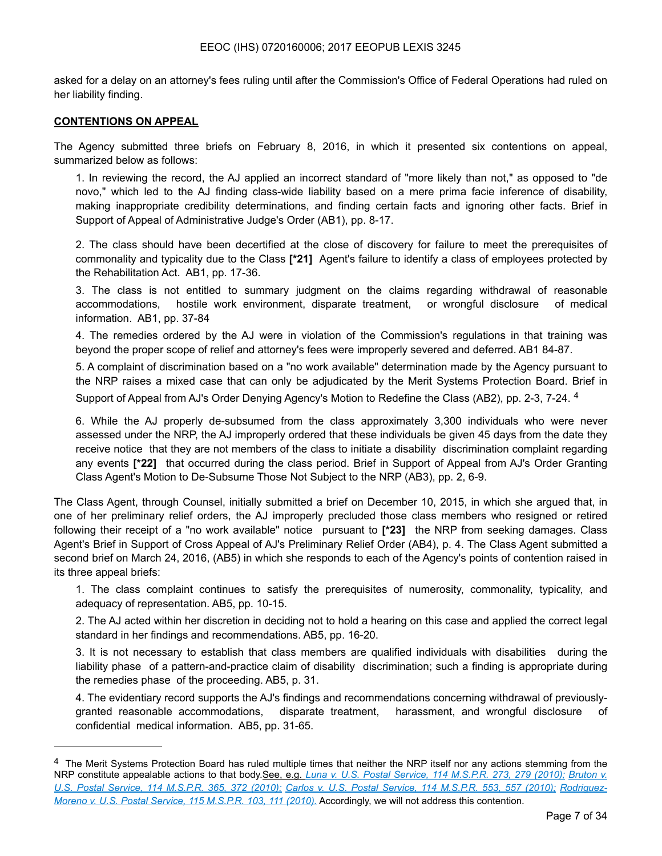asked for a delay on an attorney's fees ruling until after the Commission's Office of Federal Operations had ruled on her liability finding.

#### **CONTENTIONS ON APPEAL**

The Agency submitted three briefs on February 8, 2016, in which it presented six contentions on appeal, summarized below as follows:

1. In reviewing the record, the AJ applied an incorrect standard of "more likely than not," as opposed to "de novo," which led to the AJ finding class-wide liability based on a mere prima facie inference of disability, making inappropriate credibility determinations, and finding certain facts and ignoring other facts. Brief in Support of Appeal of Administrative Judge's Order (AB1), pp. 8-17.

2. The class should have been decertified at the close of discovery for failure to meet the prerequisites of commonality and typicality due to the Class **[\*21]** Agent's failure to identify a class of employees protected by the Rehabilitation Act. AB1, pp. 17-36.

3. The class is not entitled to summary judgment on the claims regarding withdrawal of reasonable accommodations, hostile work environment, disparate treatment, or wrongful disclosure of medical information. AB1, pp. 37-84

4. The remedies ordered by the AJ were in violation of the Commission's regulations in that training was beyond the proper scope of relief and attorney's fees were improperly severed and deferred. AB1 84-87.

5. A complaint of discrimination based on a "no work available" determination made by the Agency pursuant to the NRP raises a mixed case that can only be adjudicated by the Merit Systems Protection Board. Brief in Support of Appeal from AJ's Order Denying Agency's Motion to Redefine the Class (AB2), pp. 2-3, 7-24. [4](#page-6-0)

<span id="page-6-1"></span>6. While the AJ properly de-subsumed from the class approximately 3,300 individuals who were never assessed under the NRP, the AJ improperly ordered that these individuals be given 45 days from the date they receive notice that they are not members of the class to initiate a disability discrimination complaint regarding any events **[\*22]** that occurred during the class period. Brief in Support of Appeal from AJ's Order Granting Class Agent's Motion to De-Subsume Those Not Subject to the NRP (AB3), pp. 2, 6-9.

The Class Agent, through Counsel, initially submitted a brief on December 10, 2015, in which she argued that, in one of her preliminary relief orders, the AJ improperly precluded those class members who resigned or retired following their receipt of a "no work available" notice pursuant to **[\*23]** the NRP from seeking damages. Class Agent's Brief in Support of Cross Appeal of AJ's Preliminary Relief Order (AB4), p. 4. The Class Agent submitted a second brief on March 24, 2016, (AB5) in which she responds to each of the Agency's points of contention raised in its three appeal briefs:

1. The class complaint continues to satisfy the prerequisites of numerosity, commonality, typicality, and adequacy of representation. AB5, pp. 10-15.

2. The AJ acted within her discretion in deciding not to hold a hearing on this case and applied the correct legal standard in her findings and recommendations. AB5, pp. 16-20.

3. It is not necessary to establish that class members are qualified individuals with disabilities during the liability phase of a pattern-and-practice claim of disability discrimination; such a finding is appropriate during the remedies phase of the proceeding. AB5, p. 31.

4. The evidentiary record supports the AJ's findings and recommendations concerning withdrawal of previouslygranted reasonable accommodations, disparate treatment, harassment, and wrongful disclosure of confidential medical information. AB5, pp. 31-65.

<span id="page-6-0"></span><sup>&</sup>lt;sup>[4](#page-6-1)</sup> The Merit Systems Protection Board has ruled multiple times that neither the NRP itself nor any actions stemming from the NRP constitute appealable actions to that body.See, e.g. *Luna v. U.S. Postal Service, 114 M.S.P.R. 273, 279 (2010); Bruton v. U.S. Postal Service, 114 M.S.P.R. 365, 372 (2010); Carlos v. U.S. Postal Service, 114 M.S.P.R. 553, 557 (2010); Rodriguez-Moreno v. U.S. Postal Service, 115 M.S.P.R. 103, 111 (2010).* Accordingly, we will not address this contention.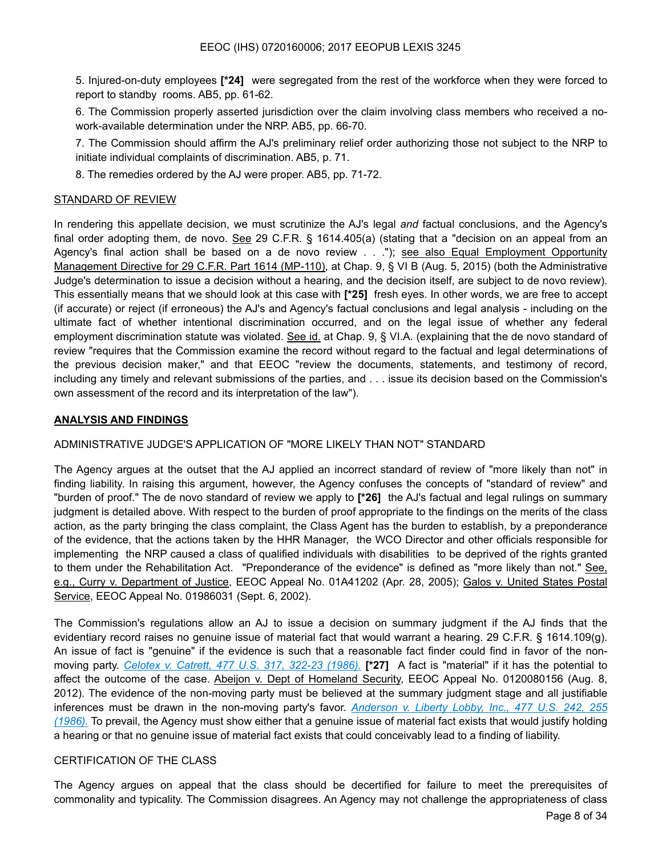5. Injured-on-duty employees **[\*24]** were segregated from the rest of the workforce when they were forced to report to standby rooms. AB5, pp. 61-62.

6. The Commission properly asserted jurisdiction over the claim involving class members who received a nowork-available determination under the NRP. AB5, pp. 66-70.

7. The Commission should affirm the AJ's preliminary relief order authorizing those not subject to the NRP to initiate individual complaints of discrimination. AB5, p. 71.

8. The remedies ordered by the AJ were proper. AB5, pp. 71-72.

#### STANDARD OF REVIEW

In rendering this appellate decision, we must scrutinize the AJ's legal *and* factual conclusions, and the Agency's final order adopting them, de novo. See 29 C.F.R. § 1614.405(a) (stating that a "decision on an appeal from an Agency's final action shall be based on a de novo review . . ."); see also Equal Employment Opportunity Management Directive for 29 C.F.R. Part 1614 (MP-110), at Chap. 9, § VI B (Aug. 5, 2015) (both the Administrative Judge's determination to issue a decision without a hearing, and the decision itself, are subject to de novo review). This essentially means that we should look at this case with **[\*25]** fresh eyes. In other words, we are free to accept (if accurate) or reject (if erroneous) the AJ's and Agency's factual conclusions and legal analysis - including on the ultimate fact of whether intentional discrimination occurred, and on the legal issue of whether any federal employment discrimination statute was violated. See id. at Chap. 9, § VI.A. (explaining that the de novo standard of review "requires that the Commission examine the record without regard to the factual and legal determinations of the previous decision maker," and that EEOC "review the documents, statements, and testimony of record, including any timely and relevant submissions of the parties, and . . . issue its decision based on the Commission's own assessment of the record and its interpretation of the law").

#### **ANALYSIS AND FINDINGS**

## ADMINISTRATIVE JUDGE'S APPLICATION OF "MORE LIKELY THAN NOT" STANDARD

The Agency argues at the outset that the AJ applied an incorrect standard of review of "more likely than not" in finding liability. In raising this argument, however, the Agency confuses the concepts of "standard of review" and "burden of proof." The de novo standard of review we apply to **[\*26]** the AJ's factual and legal rulings on summary judgment is detailed above. With respect to the burden of proof appropriate to the findings on the merits of the class action, as the party bringing the class complaint, the Class Agent has the burden to establish, by a preponderance of the evidence, that the actions taken by the HHR Manager, the WCO Director and other officials responsible for implementing the NRP caused a class of qualified individuals with disabilities to be deprived of the rights granted to them under the Rehabilitation Act. "Preponderance of the evidence" is defined as "more likely than not." See, e.g., Curry v. Department of Justice, EEOC Appeal No. 01A41202 (Apr. 28, 2005); Galos v. United States Postal Service, EEOC Appeal No. 01986031 (Sept. 6, 2002).

The Commission's regulations allow an AJ to issue a decision on summary judgment if the AJ finds that the evidentiary record raises no genuine issue of material fact that would warrant a hearing. 29 C.F.R. § 1614.109(g). An issue of fact is "genuine" if the evidence is such that a reasonable fact finder could find in favor of the nonmoving party. *Celotex v. Catrett, 477 U.S. 317, 322-23 (1986).* **[\*27]** A fact is "material" if it has the potential to affect the outcome of the case. Abeijon v. Dept of Homeland Security, EEOC Appeal No. 0120080156 (Aug. 8, 2012). The evidence of the non-moving party must be believed at the summary judgment stage and all justifiable inferences must be drawn in the non-moving party's favor. *Anderson v. Liberty Lobby, Inc., 477 U.S. 242, 255 (1986).* To prevail, the Agency must show either that a genuine issue of material fact exists that would justify holding a hearing or that no genuine issue of material fact exists that could conceivably lead to a finding of liability.

## CERTIFICATION OF THE CLASS

The Agency argues on appeal that the class should be decertified for failure to meet the prerequisites of commonality and typicality. The Commission disagrees. An Agency may not challenge the appropriateness of class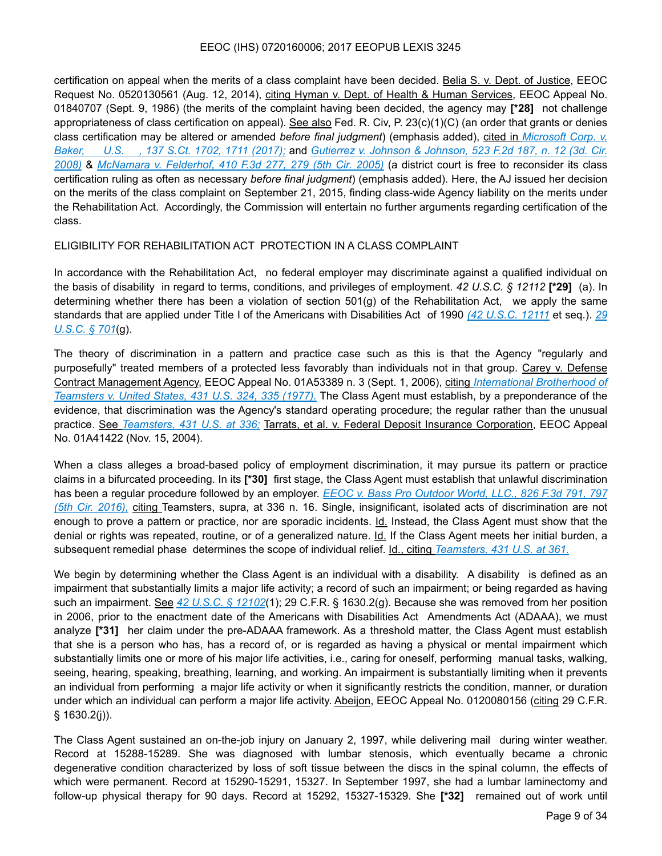certification on appeal when the merits of a class complaint have been decided. Belia S. v. Dept. of Justice, EEOC Request No. 0520130561 (Aug. 12, 2014), citing Hyman v. Dept. of Health & Human Services, EEOC Appeal No. 01840707 (Sept. 9, 1986) (the merits of the complaint having been decided, the agency may **[\*28]** not challenge appropriateness of class certification on appeal). See also Fed. R. Civ, P. 23(c)(1)(C) (an order that grants or denies class certification may be altered or amended *before final judgment*) (emphasis added), cited in *Microsoft Corp. v. Baker, U.S. , 137 S.Ct. 1702, 1711 (2017);* and *Gutierrez v. Johnson & Johnson, 523 F.2d 187, n. 12 (3d. Cir. 2008)* & *McNamara v. Felderhof, 410 F.3d 277, 279 (5th Cir. 2005)* (a district court is free to reconsider its class certification ruling as often as necessary *before final judgment*) (emphasis added). Here, the AJ issued her decision on the merits of the class complaint on September 21, 2015, finding class-wide Agency liability on the merits under the Rehabilitation Act. Accordingly, the Commission will entertain no further arguments regarding certification of the class.

#### ELIGIBILITY FOR REHABILITATION ACT PROTECTION IN A CLASS COMPLAINT

In accordance with the Rehabilitation Act, no federal employer may discriminate against a qualified individual on the basis of disability in regard to terms, conditions, and privileges of employment. *42 U.S.C. § 12112* **[\*29]** (a). In determining whether there has been a violation of section 501(g) of the Rehabilitation Act, we apply the same standards that are applied under Title I of the Americans with Disabilities Act of 1990 *(42 U.S.C. 12111* et seq.). *29 U.S.C. § 701*(g).

The theory of discrimination in a pattern and practice case such as this is that the Agency "regularly and purposefully" treated members of a protected less favorably than individuals not in that group. Carey v. Defense Contract Management Agency, EEOC Appeal No. 01A53389 n. 3 (Sept. 1, 2006), citing *International Brotherhood of Teamsters v. United States, 431 U.S. 324, 335 (1977).* The Class Agent must establish, by a preponderance of the evidence, that discrimination was the Agency's standard operating procedure; the regular rather than the unusual practice. See *Teamsters, 431 U.S. at 336;* Tarrats, et al. v. Federal Deposit Insurance Corporation, EEOC Appeal No. 01A41422 (Nov. 15, 2004).

When a class alleges a broad-based policy of employment discrimination, it may pursue its pattern or practice claims in a bifurcated proceeding. In its **[\*30]** first stage, the Class Agent must establish that unlawful discrimination has been a regular procedure followed by an employer. *EEOC v. Bass Pro Outdoor World, LLC., 826 F.3d 791, 797 (5th Cir. 2016),* citing Teamsters, supra, at 336 n. 16. Single, insignificant, isolated acts of discrimination are not enough to prove a pattern or practice, nor are sporadic incidents. Id. Instead, the Class Agent must show that the denial or rights was repeated, routine, or of a generalized nature. Id. If the Class Agent meets her initial burden, a subsequent remedial phase determines the scope of individual relief. Id., citing *Teamsters, 431 U.S. at 361.*

We begin by determining whether the Class Agent is an individual with a disability. A disability is defined as an impairment that substantially limits a major life activity; a record of such an impairment; or being regarded as having such an impairment. See *42 U.S.C. § 12102*(1); 29 C.F.R. § 1630.2(g). Because she was removed from her position in 2006, prior to the enactment date of the Americans with Disabilities Act Amendments Act (ADAAA), we must analyze **[\*31]** her claim under the pre-ADAAA framework. As a threshold matter, the Class Agent must establish that she is a person who has, has a record of, or is regarded as having a physical or mental impairment which substantially limits one or more of his major life activities, i.e., caring for oneself, performing manual tasks, walking, seeing, hearing, speaking, breathing, learning, and working. An impairment is substantially limiting when it prevents an individual from performing a major life activity or when it significantly restricts the condition, manner, or duration under which an individual can perform a major life activity. Abeijon, EEOC Appeal No. 0120080156 (citing 29 C.F.R.  $§ 1630.2(i)$ ).

The Class Agent sustained an on-the-job injury on January 2, 1997, while delivering mail during winter weather. Record at 15288-15289. She was diagnosed with lumbar stenosis, which eventually became a chronic degenerative condition characterized by loss of soft tissue between the discs in the spinal column, the effects of which were permanent. Record at 15290-15291, 15327. In September 1997, she had a lumbar laminectomy and follow-up physical therapy for 90 days. Record at 15292, 15327-15329. She **[\*32]** remained out of work until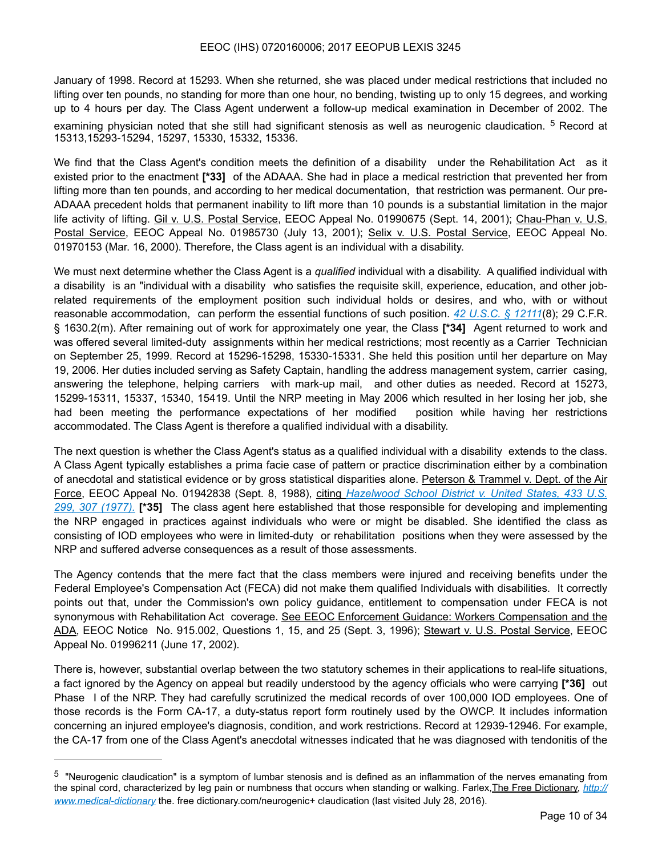January of 1998. Record at 15293. When she returned, she was placed under medical restrictions that included no lifting over ten pounds, no standing for more than one hour, no bending, twisting up to only 15 degrees, and working up to 4 hours per day. The Class Agent underwent a follow-up medical examination in December of 2002. The examining physician noted that she still had significant stenosis as well as neurogenic claudication.  $5$  Record at 15313,15293-15294, 15297, 15330, 15332, 15336.

<span id="page-9-1"></span>We find that the Class Agent's condition meets the definition of a disability under the Rehabilitation Act as it existed prior to the enactment **[\*33]** of the ADAAA. She had in place a medical restriction that prevented her from lifting more than ten pounds, and according to her medical documentation, that restriction was permanent. Our pre-ADAAA precedent holds that permanent inability to lift more than 10 pounds is a substantial limitation in the major life activity of lifting. Gil v. U.S. Postal Service, EEOC Appeal No. 01990675 (Sept. 14, 2001); Chau-Phan v. U.S. Postal Service, EEOC Appeal No. 01985730 (July 13, 2001); Selix v. U.S. Postal Service, EEOC Appeal No. 01970153 (Mar. 16, 2000). Therefore, the Class agent is an individual with a disability.

We must next determine whether the Class Agent is a *qualified* individual with a disability. A qualified individual with a disability is an "individual with a disability who satisfies the requisite skill, experience, education, and other jobrelated requirements of the employment position such individual holds or desires, and who, with or without reasonable accommodation, can perform the essential functions of such position. *42 U.S.C. § 12111*(8); 29 C.F.R. § 1630.2(m). After remaining out of work for approximately one year, the Class **[\*34]** Agent returned to work and was offered several limited-duty assignments within her medical restrictions; most recently as a Carrier Technician on September 25, 1999. Record at 15296-15298, 15330-15331. She held this position until her departure on May 19, 2006. Her duties included serving as Safety Captain, handling the address management system, carrier casing, answering the telephone, helping carriers with mark-up mail, and other duties as needed. Record at 15273, 15299-15311, 15337, 15340, 15419. Until the NRP meeting in May 2006 which resulted in her losing her job, she had been meeting the performance expectations of her modified position while having her restrictions accommodated. The Class Agent is therefore a qualified individual with a disability.

The next question is whether the Class Agent's status as a qualified individual with a disability extends to the class. A Class Agent typically establishes a prima facie case of pattern or practice discrimination either by a combination of anecdotal and statistical evidence or by gross statistical disparities alone. Peterson & Trammel v. Dept. of the Air Force, EEOC Appeal No. 01942838 (Sept. 8, 1988), citing *Hazelwood School District v. United States, 433 U.S. 299, 307 (1977).* **[\*35]** The class agent here established that those responsible for developing and implementing the NRP engaged in practices against individuals who were or might be disabled. She identified the class as consisting of IOD employees who were in limited-duty or rehabilitation positions when they were assessed by the NRP and suffered adverse consequences as a result of those assessments.

The Agency contends that the mere fact that the class members were injured and receiving benefits under the Federal Employee's Compensation Act (FECA) did not make them qualified Individuals with disabilities. It correctly points out that, under the Commission's own policy guidance, entitlement to compensation under FECA is not synonymous with Rehabilitation Act coverage. See EEOC Enforcement Guidance: Workers Compensation and the ADA, EEOC Notice No. 915.002, Questions 1, 15, and 25 (Sept. 3, 1996); Stewart v. U.S. Postal Service, EEOC Appeal No. 01996211 (June 17, 2002).

There is, however, substantial overlap between the two statutory schemes in their applications to real-life situations, a fact ignored by the Agency on appeal but readily understood by the agency officials who were carrying **[\*36]** out Phase I of the NRP. They had carefully scrutinized the medical records of over 100,000 IOD employees. One of those records is the Form CA-17, a duty-status report form routinely used by the OWCP. It includes information concerning an injured employee's diagnosis, condition, and work restrictions. Record at 12939-12946. For example, the CA-17 from one of the Class Agent's anecdotal witnesses indicated that he was diagnosed with tendonitis of the

<span id="page-9-0"></span><sup>&</sup>lt;sup>[5](#page-9-1)</sup> "Neurogenic claudication" is a symptom of lumbar stenosis and is defined as an inflammation of the nerves emanating from the spinal cord, characterized by leg pain or numbness that occurs when standing or walking. Farlex,The Free Dictionary, *http:// www.medical-dictionary* the. free dictionary.com/neurogenic+ claudication (last visited July 28, 2016).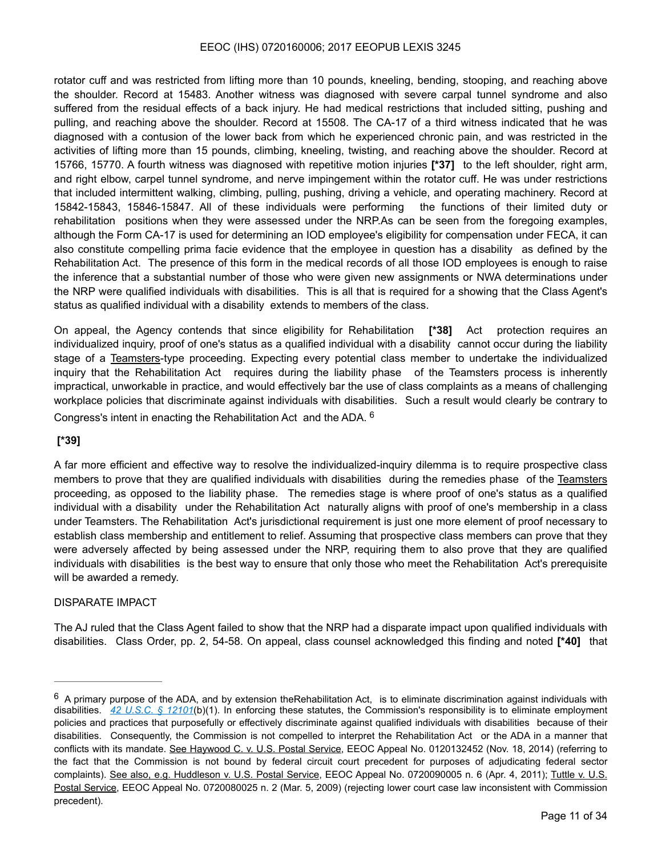rotator cuff and was restricted from lifting more than 10 pounds, kneeling, bending, stooping, and reaching above the shoulder. Record at 15483. Another witness was diagnosed with severe carpal tunnel syndrome and also suffered from the residual effects of a back injury. He had medical restrictions that included sitting, pushing and pulling, and reaching above the shoulder. Record at 15508. The CA-17 of a third witness indicated that he was diagnosed with a contusion of the lower back from which he experienced chronic pain, and was restricted in the activities of lifting more than 15 pounds, climbing, kneeling, twisting, and reaching above the shoulder. Record at 15766, 15770. A fourth witness was diagnosed with repetitive motion injuries **[\*37]** to the left shoulder, right arm, and right elbow, carpel tunnel syndrome, and nerve impingement within the rotator cuff. He was under restrictions that included intermittent walking, climbing, pulling, pushing, driving a vehicle, and operating machinery. Record at 15842-15843, 15846-15847. All of these individuals were performing the functions of their limited duty or rehabilitation positions when they were assessed under the NRP.As can be seen from the foregoing examples, although the Form CA-17 is used for determining an IOD employee's eligibility for compensation under FECA, it can also constitute compelling prima facie evidence that the employee in question has a disability as defined by the Rehabilitation Act. The presence of this form in the medical records of all those IOD employees is enough to raise the inference that a substantial number of those who were given new assignments or NWA determinations under the NRP were qualified individuals with disabilities. This is all that is required for a showing that the Class Agent's status as qualified individual with a disability extends to members of the class.

On appeal, the Agency contends that since eligibility for Rehabilitation **[\*38]** Act protection requires an individualized inquiry, proof of one's status as a qualified individual with a disability cannot occur during the liability stage of a Teamsters-type proceeding. Expecting every potential class member to undertake the individualized inquiry that the Rehabilitation Act requires during the liability phase of the Teamsters process is inherently impractical, unworkable in practice, and would effectively bar the use of class complaints as a means of challenging workplace policies that discriminate against individuals with disabilities. Such a result would clearly be contrary to Congress's intent in enacting the Rehabilitation Act and the ADA. [6](#page-10-0)

## <span id="page-10-1"></span> **[\*39]**

A far more efficient and effective way to resolve the individualized-inquiry dilemma is to require prospective class members to prove that they are qualified individuals with disabilities during the remedies phase of the Teamsters proceeding, as opposed to the liability phase. The remedies stage is where proof of one's status as a qualified individual with a disability under the Rehabilitation Act naturally aligns with proof of one's membership in a class under Teamsters. The Rehabilitation Act's jurisdictional requirement is just one more element of proof necessary to establish class membership and entitlement to relief. Assuming that prospective class members can prove that they were adversely affected by being assessed under the NRP, requiring them to also prove that they are qualified individuals with disabilities is the best way to ensure that only those who meet the Rehabilitation Act's prerequisite will be awarded a remedy.

## DISPARATE IMPACT

The AJ ruled that the Class Agent failed to show that the NRP had a disparate impact upon qualified individuals with disabilities. Class Order, pp. 2, 54-58. On appeal, class counsel acknowledged this finding and noted **[\*40]** that

<span id="page-10-0"></span> $6$  A primary purpose of the ADA, and by extension theRehabilitation Act, is to eliminate discrimination against individuals with disabilities. *42 U.S.C. § 12101*(b)(1). In enforcing these statutes, the Commission's responsibility is to eliminate employment policies and practices that purposefully or effectively discriminate against qualified individuals with disabilities because of their disabilities. Consequently, the Commission is not compelled to interpret the Rehabilitation Act or the ADA in a manner that conflicts with its mandate. See Haywood C. v. U.S. Postal Service, EEOC Appeal No. 0120132452 (Nov. 18, 2014) (referring to the fact that the Commission is not bound by federal circuit court precedent for purposes of adjudicating federal sector complaints). See also, e.g. Huddleson v. U.S. Postal Service, EEOC Appeal No. 0720090005 n. 6 (Apr. 4, 2011); Tuttle v. U.S. Postal Service, EEOC Appeal No. 0720080025 n. 2 (Mar. 5, 2009) (rejecting lower court case law inconsistent with Commission precedent).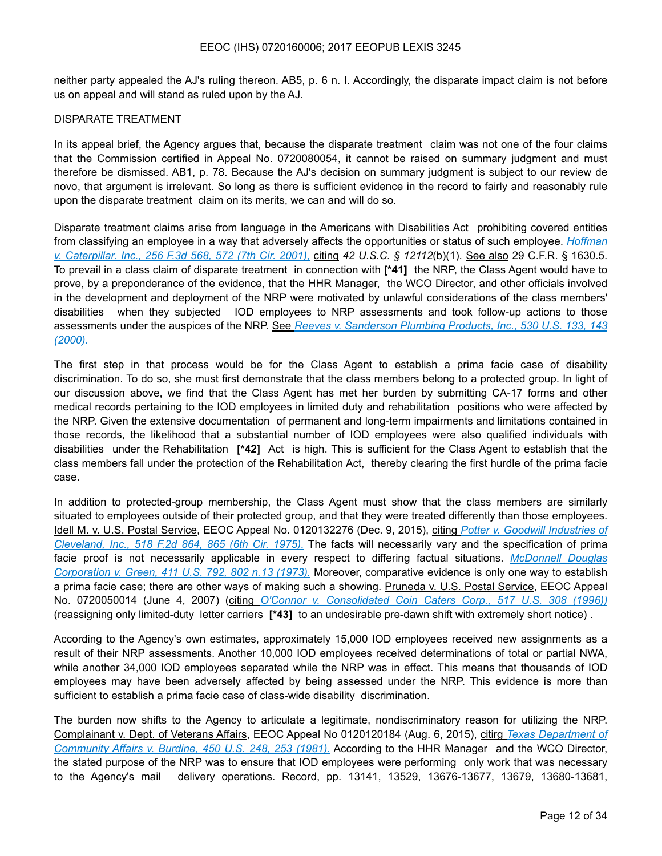neither party appealed the AJ's ruling thereon. AB5, p. 6 n. I. Accordingly, the disparate impact claim is not before us on appeal and will stand as ruled upon by the AJ.

#### DISPARATE TREATMENT

In its appeal brief, the Agency argues that, because the disparate treatment claim was not one of the four claims that the Commission certified in Appeal No. 0720080054, it cannot be raised on summary judgment and must therefore be dismissed. AB1, p. 78. Because the AJ's decision on summary judgment is subject to our review de novo, that argument is irrelevant. So long as there is sufficient evidence in the record to fairly and reasonably rule upon the disparate treatment claim on its merits, we can and will do so.

Disparate treatment claims arise from language in the Americans with Disabilities Act prohibiting covered entities from classifying an employee in a way that adversely affects the opportunities or status of such employee. *Hoffman v. Caterpillar. Inc., 256 F.3d 568, 572 (7th Cir. 2001),* citing *42 U.S.C. § 12112*(b)(1). See also 29 C.F.R. § 1630.5. To prevail in a class claim of disparate treatment in connection with **[\*41]** the NRP, the Class Agent would have to prove, by a preponderance of the evidence, that the HHR Manager, the WCO Director, and other officials involved in the development and deployment of the NRP were motivated by unlawful considerations of the class members' disabilities when they subjected IOD employees to NRP assessments and took follow-up actions to those assessments under the auspices of the NRP. See *Reeves v. Sanderson Plumbing Products, Inc., 530 U.S. 133, 143 (2000).*

The first step in that process would be for the Class Agent to establish a prima facie case of disability discrimination. To do so, she must first demonstrate that the class members belong to a protected group. In light of our discussion above, we find that the Class Agent has met her burden by submitting CA-17 forms and other medical records pertaining to the IOD employees in limited duty and rehabilitation positions who were affected by the NRP. Given the extensive documentation of permanent and long-term impairments and limitations contained in those records, the likelihood that a substantial number of IOD employees were also qualified individuals with disabilities under the Rehabilitation **[\*42]** Act is high. This is sufficient for the Class Agent to establish that the class members fall under the protection of the Rehabilitation Act, thereby clearing the first hurdle of the prima facie case.

In addition to protected-group membership, the Class Agent must show that the class members are similarly situated to employees outside of their protected group, and that they were treated differently than those employees. Idell M. v. U.S. Postal Service, EEOC Appeal No. 0120132276 (Dec. 9, 2015), citing *Potter v. Goodwill Industries of Cleveland, Inc., 518 F.2d 864, 865 (6th Cir. 1975).* The facts will necessarily vary and the specification of prima facie proof is not necessarily applicable in every respect to differing factual situations. *McDonnell Douglas Corporation v. Green, 411 U.S. 792, 802 n.13 (1973).* Moreover, comparative evidence is only one way to establish a prima facie case; there are other ways of making such a showing. Pruneda v. U.S. Postal Service, EEOC Appeal No. 0720050014 (June 4, 2007) (citing *O'Connor v. Consolidated Coin Caters Corp., 517 U.S. 308 (1996))* (reassigning only limited-duty letter carriers **[\*43]** to an undesirable pre-dawn shift with extremely short notice) .

According to the Agency's own estimates, approximately 15,000 IOD employees received new assignments as a result of their NRP assessments. Another 10,000 IOD employees received determinations of total or partial NWA, while another 34,000 IOD employees separated while the NRP was in effect. This means that thousands of IOD employees may have been adversely affected by being assessed under the NRP. This evidence is more than sufficient to establish a prima facie case of class-wide disability discrimination.

The burden now shifts to the Agency to articulate a legitimate, nondiscriminatory reason for utilizing the NRP. Complainant v. Dept. of Veterans Affairs, EEOC Appeal No 0120120184 (Aug. 6, 2015), citirg *Texas Department of Community Affairs v. Burdine, 450 U.S. 248, 253 (1981).* According to the HHR Manager and the WCO Director, the stated purpose of the NRP was to ensure that IOD employees were performing only work that was necessary to the Agency's mail delivery operations. Record, pp. 13141, 13529, 13676-13677, 13679, 13680-13681,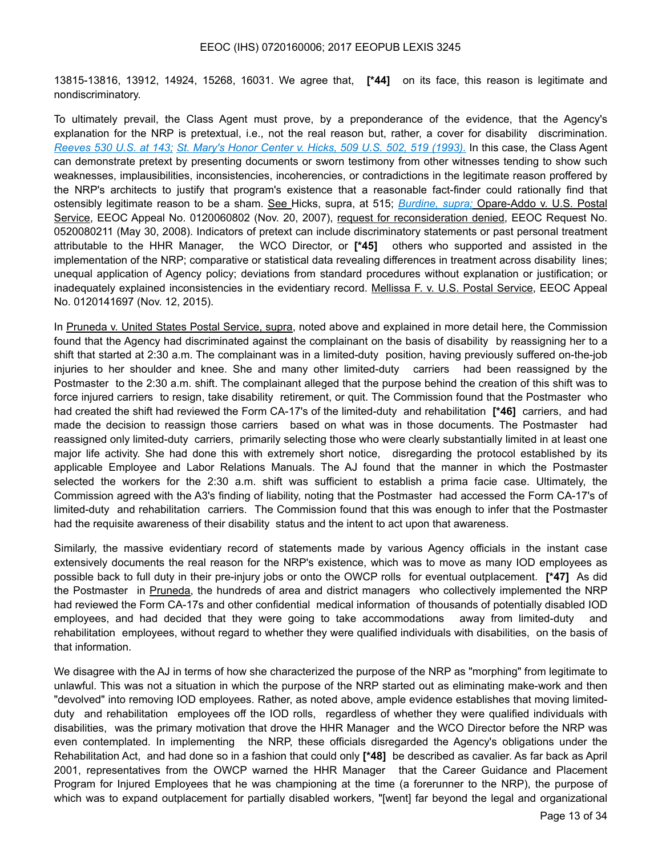13815-13816, 13912, 14924, 15268, 16031. We agree that, **[\*44]** on its face, this reason is legitimate and nondiscriminatory.

To ultimately prevail, the Class Agent must prove, by a preponderance of the evidence, that the Agency's explanation for the NRP is pretextual, i.e., not the real reason but, rather, a cover for disability discrimination. *Reeves 530 U.S. at 143; St. Mary's Honor Center v. Hicks, 509 U.S. 502, 519 (1993).* In this case, the Class Agent can demonstrate pretext by presenting documents or sworn testimony from other witnesses tending to show such weaknesses, implausibilities, inconsistencies, incoherencies, or contradictions in the legitimate reason proffered by the NRP's architects to justify that program's existence that a reasonable fact-finder could rationally find that ostensibly legitimate reason to be a sham. See Hicks, supra, at 515; *Burdine, supra;* Opare-Addo v. U.S. Postal Service, EEOC Appeal No. 0120060802 (Nov. 20, 2007), request for reconsideration denied, EEOC Request No. 0520080211 (May 30, 2008). Indicators of pretext can include discriminatory statements or past personal treatment attributable to the HHR Manager, the WCO Director, or **[\*45]** others who supported and assisted in the implementation of the NRP; comparative or statistical data revealing differences in treatment across disability lines; unequal application of Agency policy; deviations from standard procedures without explanation or justification; or inadequately explained inconsistencies in the evidentiary record. Mellissa F. v. U.S. Postal Service, EEOC Appeal No. 0120141697 (Nov. 12, 2015).

In Pruneda v. United States Postal Service, supra, noted above and explained in more detail here, the Commission found that the Agency had discriminated against the complainant on the basis of disability by reassigning her to a shift that started at 2:30 a.m. The complainant was in a limited-duty position, having previously suffered on-the-job injuries to her shoulder and knee. She and many other limited-duty carriers had been reassigned by the Postmaster to the 2:30 a.m. shift. The complainant alleged that the purpose behind the creation of this shift was to force injured carriers to resign, take disability retirement, or quit. The Commission found that the Postmaster who had created the shift had reviewed the Form CA-17's of the limited-duty and rehabilitation **[\*46]** carriers, and had made the decision to reassign those carriers based on what was in those documents. The Postmaster had reassigned only limited-duty carriers, primarily selecting those who were clearly substantially limited in at least one major life activity. She had done this with extremely short notice, disregarding the protocol established by its applicable Employee and Labor Relations Manuals. The AJ found that the manner in which the Postmaster selected the workers for the 2:30 a.m. shift was sufficient to establish a prima facie case. Ultimately, the Commission agreed with the A3's finding of liability, noting that the Postmaster had accessed the Form CA-17's of limited-duty and rehabilitation carriers. The Commission found that this was enough to infer that the Postmaster had the requisite awareness of their disability status and the intent to act upon that awareness.

Similarly, the massive evidentiary record of statements made by various Agency officials in the instant case extensively documents the real reason for the NRP's existence, which was to move as many IOD employees as possible back to full duty in their pre-injury jobs or onto the OWCP rolls for eventual outplacement. **[\*47]** As did the Postmaster in Pruneda, the hundreds of area and district managers who collectively implemented the NRP had reviewed the Form CA-17s and other confidential medical information of thousands of potentially disabled IOD employees, and had decided that they were going to take accommodations away from limited-duty and rehabilitation employees, without regard to whether they were qualified individuals with disabilities, on the basis of that information.

We disagree with the AJ in terms of how she characterized the purpose of the NRP as "morphing" from legitimate to unlawful. This was not a situation in which the purpose of the NRP started out as eliminating make-work and then "devolved" into removing IOD employees. Rather, as noted above, ample evidence establishes that moving limitedduty and rehabilitation employees off the IOD rolls, regardless of whether they were qualified individuals with disabilities, was the primary motivation that drove the HHR Manager and the WCO Director before the NRP was even contemplated. In implementing the NRP, these officials disregarded the Agency's obligations under the Rehabilitation Act, and had done so in a fashion that could only **[\*48]** be described as cavalier. As far back as April 2001, representatives from the OWCP warned the HHR Manager that the Career Guidance and Placement Program for Injured Employees that he was championing at the time (a forerunner to the NRP), the purpose of which was to expand outplacement for partially disabled workers, "[went] far beyond the legal and organizational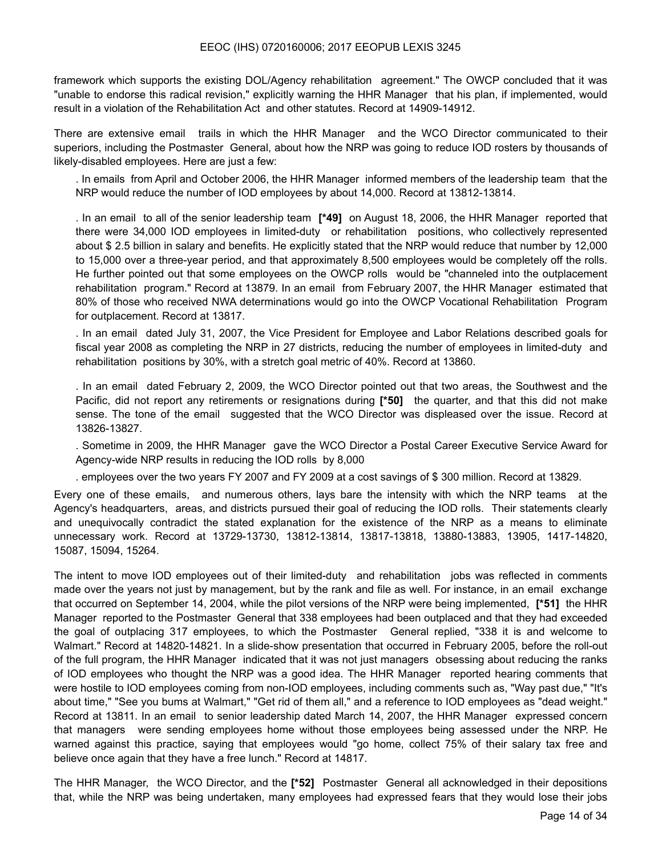framework which supports the existing DOL/Agency rehabilitation agreement." The OWCP concluded that it was "unable to endorse this radical revision," explicitly warning the HHR Manager that his plan, if implemented, would result in a violation of the Rehabilitation Act and other statutes. Record at 14909-14912.

There are extensive email trails in which the HHR Manager and the WCO Director communicated to their superiors, including the Postmaster General, about how the NRP was going to reduce IOD rosters by thousands of likely-disabled employees. Here are just a few:

. In emails from April and October 2006, the HHR Manager informed members of the leadership team that the NRP would reduce the number of IOD employees by about 14,000. Record at 13812-13814.

. In an email to all of the senior leadership team **[\*49]** on August 18, 2006, the HHR Manager reported that there were 34,000 IOD employees in limited-duty or rehabilitation positions, who collectively represented about \$ 2.5 billion in salary and benefits. He explicitly stated that the NRP would reduce that number by 12,000 to 15,000 over a three-year period, and that approximately 8,500 employees would be completely off the rolls. He further pointed out that some employees on the OWCP rolls would be "channeled into the outplacement rehabilitation program." Record at 13879. In an email from February 2007, the HHR Manager estimated that 80% of those who received NWA determinations would go into the OWCP Vocational Rehabilitation Program for outplacement. Record at 13817.

. In an email dated July 31, 2007, the Vice President for Employee and Labor Relations described goals for fiscal year 2008 as completing the NRP in 27 districts, reducing the number of employees in limited-duty and rehabilitation positions by 30%, with a stretch goal metric of 40%. Record at 13860.

. In an email dated February 2, 2009, the WCO Director pointed out that two areas, the Southwest and the Pacific, did not report any retirements or resignations during **[\*50]** the quarter, and that this did not make sense. The tone of the email suggested that the WCO Director was displeased over the issue. Record at 13826-13827.

. Sometime in 2009, the HHR Manager gave the WCO Director a Postal Career Executive Service Award for Agency-wide NRP results in reducing the IOD rolls by 8,000

. employees over the two years FY 2007 and FY 2009 at a cost savings of \$ 300 million. Record at 13829.

Every one of these emails, and numerous others, lays bare the intensity with which the NRP teams at the Agency's headquarters, areas, and districts pursued their goal of reducing the IOD rolls. Their statements clearly and unequivocally contradict the stated explanation for the existence of the NRP as a means to eliminate unnecessary work. Record at 13729-13730, 13812-13814, 13817-13818, 13880-13883, 13905, 1417-14820, 15087, 15094, 15264.

The intent to move IOD employees out of their limited-duty and rehabilitation jobs was reflected in comments made over the years not just by management, but by the rank and file as well. For instance, in an email exchange that occurred on September 14, 2004, while the pilot versions of the NRP were being implemented, **[\*51]** the HHR Manager reported to the Postmaster General that 338 employees had been outplaced and that they had exceeded the goal of outplacing 317 employees, to which the Postmaster General replied, "338 it is and welcome to Walmart." Record at 14820-14821. In a slide-show presentation that occurred in February 2005, before the roll-out of the full program, the HHR Manager indicated that it was not just managers obsessing about reducing the ranks of IOD employees who thought the NRP was a good idea. The HHR Manager reported hearing comments that were hostile to IOD employees coming from non-IOD employees, including comments such as, "Way past due," "It's about time," "See you bums at Walmart," "Get rid of them all," and a reference to IOD employees as "dead weight." Record at 13811. In an email to senior leadership dated March 14, 2007, the HHR Manager expressed concern that managers were sending employees home without those employees being assessed under the NRP. He warned against this practice, saying that employees would "go home, collect 75% of their salary tax free and believe once again that they have a free lunch." Record at 14817.

The HHR Manager, the WCO Director, and the **[\*52]** Postmaster General all acknowledged in their depositions that, while the NRP was being undertaken, many employees had expressed fears that they would lose their jobs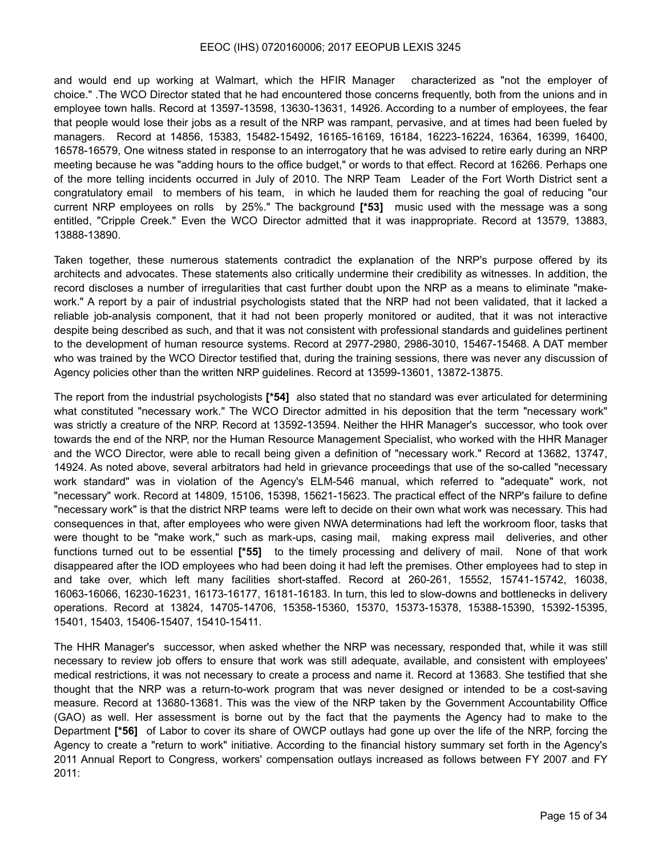and would end up working at Walmart, which the HFIR Manager characterized as "not the employer of choice." .The WCO Director stated that he had encountered those concerns frequently, both from the unions and in employee town halls. Record at 13597-13598, 13630-13631, 14926. According to a number of employees, the fear that people would lose their jobs as a result of the NRP was rampant, pervasive, and at times had been fueled by managers. Record at 14856, 15383, 15482-15492, 16165-16169, 16184, 16223-16224, 16364, 16399, 16400, 16578-16579, One witness stated in response to an interrogatory that he was advised to retire early during an NRP meeting because he was "adding hours to the office budget," or words to that effect. Record at 16266. Perhaps one of the more telling incidents occurred in July of 2010. The NRP Team Leader of the Fort Worth District sent a congratulatory email to members of his team, in which he lauded them for reaching the goal of reducing "our current NRP employees on rolls by 25%." The background **[\*53]** music used with the message was a song entitled, "Cripple Creek." Even the WCO Director admitted that it was inappropriate. Record at 13579, 13883, 13888-13890.

Taken together, these numerous statements contradict the explanation of the NRP's purpose offered by its architects and advocates. These statements also critically undermine their credibility as witnesses. In addition, the record discloses a number of irregularities that cast further doubt upon the NRP as a means to eliminate "makework." A report by a pair of industrial psychologists stated that the NRP had not been validated, that it lacked a reliable job-analysis component, that it had not been properly monitored or audited, that it was not interactive despite being described as such, and that it was not consistent with professional standards and guidelines pertinent to the development of human resource systems. Record at 2977-2980, 2986-3010, 15467-15468. A DAT member who was trained by the WCO Director testified that, during the training sessions, there was never any discussion of Agency policies other than the written NRP guidelines. Record at 13599-13601, 13872-13875.

The report from the industrial psychologists **[\*54]** also stated that no standard was ever articulated for determining what constituted "necessary work." The WCO Director admitted in his deposition that the term "necessary work" was strictly a creature of the NRP. Record at 13592-13594. Neither the HHR Manager's successor, who took over towards the end of the NRP, nor the Human Resource Management Specialist, who worked with the HHR Manager and the WCO Director, were able to recall being given a definition of "necessary work." Record at 13682, 13747, 14924. As noted above, several arbitrators had held in grievance proceedings that use of the so-called "necessary work standard" was in violation of the Agency's ELM-546 manual, which referred to "adequate" work, not "necessary" work. Record at 14809, 15106, 15398, 15621-15623. The practical effect of the NRP's failure to define "necessary work" is that the district NRP teams were left to decide on their own what work was necessary. This had consequences in that, after employees who were given NWA determinations had left the workroom floor, tasks that were thought to be "make work," such as mark-ups, casing mail, making express mail deliveries, and other functions turned out to be essential **[\*55]** to the timely processing and delivery of mail. None of that work disappeared after the IOD employees who had been doing it had left the premises. Other employees had to step in and take over, which left many facilities short-staffed. Record at 260-261, 15552, 15741-15742, 16038, 16063-16066, 16230-16231, 16173-16177, 16181-16183. In turn, this led to slow-downs and bottlenecks in delivery operations. Record at 13824, 14705-14706, 15358-15360, 15370, 15373-15378, 15388-15390, 15392-15395, 15401, 15403, 15406-15407, 15410-15411.

The HHR Manager's successor, when asked whether the NRP was necessary, responded that, while it was still necessary to review job offers to ensure that work was still adequate, available, and consistent with employees' medical restrictions, it was not necessary to create a process and name it. Record at 13683. She testified that she thought that the NRP was a return-to-work program that was never designed or intended to be a cost-saving measure. Record at 13680-13681. This was the view of the NRP taken by the Government Accountability Office (GAO) as well. Her assessment is borne out by the fact that the payments the Agency had to make to the Department **[\*56]** of Labor to cover its share of OWCP outlays had gone up over the life of the NRP, forcing the Agency to create a "return to work" initiative. According to the financial history summary set forth in the Agency's 2011 Annual Report to Congress, workers' compensation outlays increased as follows between FY 2007 and FY 2011: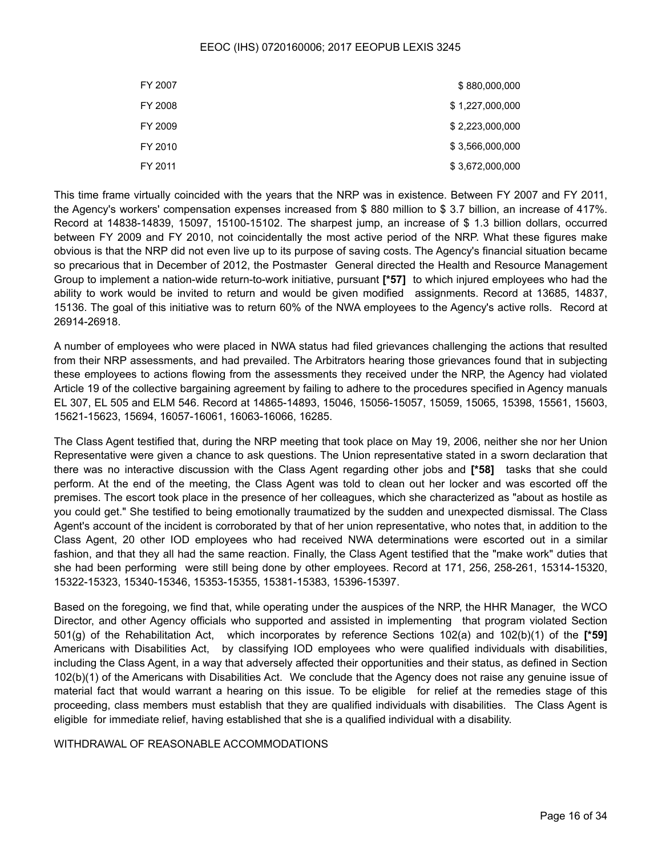| FY 2007 | \$880,000,000   |
|---------|-----------------|
| FY 2008 | \$1,227,000,000 |
| FY 2009 | \$2,223,000,000 |
| FY 2010 | \$3,566,000,000 |
| FY 2011 | \$3,672,000,000 |

This time frame virtually coincided with the years that the NRP was in existence. Between FY 2007 and FY 2011, the Agency's workers' compensation expenses increased from \$ 880 million to \$ 3.7 billion, an increase of 417%. Record at 14838-14839, 15097, 15100-15102. The sharpest jump, an increase of \$ 1.3 billion dollars, occurred between FY 2009 and FY 2010, not coincidentally the most active period of the NRP. What these figures make obvious is that the NRP did not even live up to its purpose of saving costs. The Agency's financial situation became so precarious that in December of 2012, the Postmaster General directed the Health and Resource Management Group to implement a nation-wide return-to-work initiative, pursuant **[\*57]** to which injured employees who had the ability to work would be invited to return and would be given modified assignments. Record at 13685, 14837, 15136. The goal of this initiative was to return 60% of the NWA employees to the Agency's active rolls. Record at 26914-26918.

A number of employees who were placed in NWA status had filed grievances challenging the actions that resulted from their NRP assessments, and had prevailed. The Arbitrators hearing those grievances found that in subjecting these employees to actions flowing from the assessments they received under the NRP, the Agency had violated Article 19 of the collective bargaining agreement by failing to adhere to the procedures specified in Agency manuals EL 307, EL 505 and ELM 546. Record at 14865-14893, 15046, 15056-15057, 15059, 15065, 15398, 15561, 15603, 15621-15623, 15694, 16057-16061, 16063-16066, 16285.

The Class Agent testified that, during the NRP meeting that took place on May 19, 2006, neither she nor her Union Representative were given a chance to ask questions. The Union representative stated in a sworn declaration that there was no interactive discussion with the Class Agent regarding other jobs and **[\*58]** tasks that she could perform. At the end of the meeting, the Class Agent was told to clean out her locker and was escorted off the premises. The escort took place in the presence of her colleagues, which she characterized as "about as hostile as you could get." She testified to being emotionally traumatized by the sudden and unexpected dismissal. The Class Agent's account of the incident is corroborated by that of her union representative, who notes that, in addition to the Class Agent, 20 other IOD employees who had received NWA determinations were escorted out in a similar fashion, and that they all had the same reaction. Finally, the Class Agent testified that the "make work" duties that she had been performing were still being done by other employees. Record at 171, 256, 258-261, 15314-15320, 15322-15323, 15340-15346, 15353-15355, 15381-15383, 15396-15397.

Based on the foregoing, we find that, while operating under the auspices of the NRP, the HHR Manager, the WCO Director, and other Agency officials who supported and assisted in implementing that program violated Section 501(g) of the Rehabilitation Act, which incorporates by reference Sections 102(a) and 102(b)(1) of the **[\*59]**  Americans with Disabilities Act, by classifying IOD employees who were qualified individuals with disabilities, including the Class Agent, in a way that adversely affected their opportunities and their status, as defined in Section 102(b)(1) of the Americans with Disabilities Act. We conclude that the Agency does not raise any genuine issue of material fact that would warrant a hearing on this issue. To be eligible for relief at the remedies stage of this proceeding, class members must establish that they are qualified individuals with disabilities. The Class Agent is eligible for immediate relief, having established that she is a qualified individual with a disability.

WITHDRAWAL OF REASONABLE ACCOMMODATIONS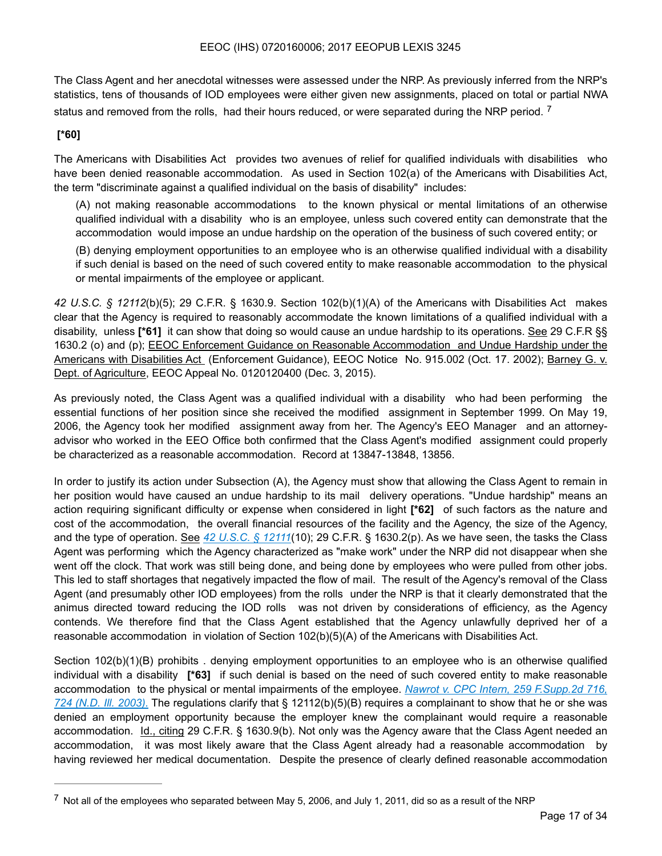The Class Agent and her anecdotal witnesses were assessed under the NRP. As previously inferred from the NRP's statistics, tens of thousands of IOD employees were either given new assignments, placed on total or partial NWA status and removed from the rolls, had their hours reduced, or were separated during the NRP period.<sup>[7](#page-16-0)</sup>

## **[\*60]**

The Americans with Disabilities Act provides two avenues of relief for qualified individuals with disabilities who have been denied reasonable accommodation. As used in Section 102(a) of the Americans with Disabilities Act, the term "discriminate against a qualified individual on the basis of disability" includes:

<span id="page-16-1"></span>(A) not making reasonable accommodations to the known physical or mental limitations of an otherwise qualified individual with a disability who is an employee, unless such covered entity can demonstrate that the accommodation would impose an undue hardship on the operation of the business of such covered entity; or

(B) denying employment opportunities to an employee who is an otherwise qualified individual with a disability if such denial is based on the need of such covered entity to make reasonable accommodation to the physical or mental impairments of the employee or applicant.

*42 U.S.C. § 12112*(b)(5); 29 C.F.R. § 1630.9. Section 102(b)(1)(A) of the Americans with Disabilities Act makes clear that the Agency is required to reasonably accommodate the known limitations of a qualified individual with a disability, unless **[\*61]** it can show that doing so would cause an undue hardship to its operations. See 29 C.F.R §§ 1630.2 (o) and (p); EEOC Enforcement Guidance on Reasonable Accommodation and Undue Hardship under the Americans with Disabilities Act (Enforcement Guidance), EEOC Notice No. 915.002 (Oct. 17. 2002); Barney G. v. Dept. of Agriculture, EEOC Appeal No. 0120120400 (Dec. 3, 2015).

As previously noted, the Class Agent was a qualified individual with a disability who had been performing the essential functions of her position since she received the modified assignment in September 1999. On May 19, 2006, the Agency took her modified assignment away from her. The Agency's EEO Manager and an attorneyadvisor who worked in the EEO Office both confirmed that the Class Agent's modified assignment could properly be characterized as a reasonable accommodation. Record at 13847-13848, 13856.

In order to justify its action under Subsection (A), the Agency must show that allowing the Class Agent to remain in her position would have caused an undue hardship to its mail delivery operations. "Undue hardship" means an action requiring significant difficulty or expense when considered in light **[\*62]** of such factors as the nature and cost of the accommodation, the overall financial resources of the facility and the Agency, the size of the Agency, and the type of operation. See *42 U.S.C. § 12111*(10); 29 C.F.R. § 1630.2(p). As we have seen, the tasks the Class Agent was performing which the Agency characterized as "make work" under the NRP did not disappear when she went off the clock. That work was still being done, and being done by employees who were pulled from other jobs. This led to staff shortages that negatively impacted the flow of mail. The result of the Agency's removal of the Class Agent (and presumably other IOD employees) from the rolls under the NRP is that it clearly demonstrated that the animus directed toward reducing the IOD rolls was not driven by considerations of efficiency, as the Agency contends. We therefore find that the Class Agent established that the Agency unlawfully deprived her of a reasonable accommodation in violation of Section 102(b)(5)(A) of the Americans with Disabilities Act.

Section 102(b)(1)(B) prohibits . denying employment opportunities to an employee who is an otherwise qualified individual with a disability **[\*63]** if such denial is based on the need of such covered entity to make reasonable accommodation to the physical or mental impairments of the employee. *Nawrot v. CPC Intern, 259 F.Supp.2d 716, 724 (N.D. Ill. 2003).* The regulations clarify that § 12112(b)(5)(B) requires a complainant to show that he or she was denied an employment opportunity because the employer knew the complainant would require a reasonable accommodation. Id., citing 29 C.F.R. § 1630.9(b). Not only was the Agency aware that the Class Agent needed an accommodation, it was most likely aware that the Class Agent already had a reasonable accommodation by having reviewed her medical documentation. Despite the presence of clearly defined reasonable accommodation

<span id="page-16-0"></span>[<sup>7</sup>](#page-16-1) Not all of the employees who separated between May 5, 2006, and July 1, 2011, did so as a result of the NRP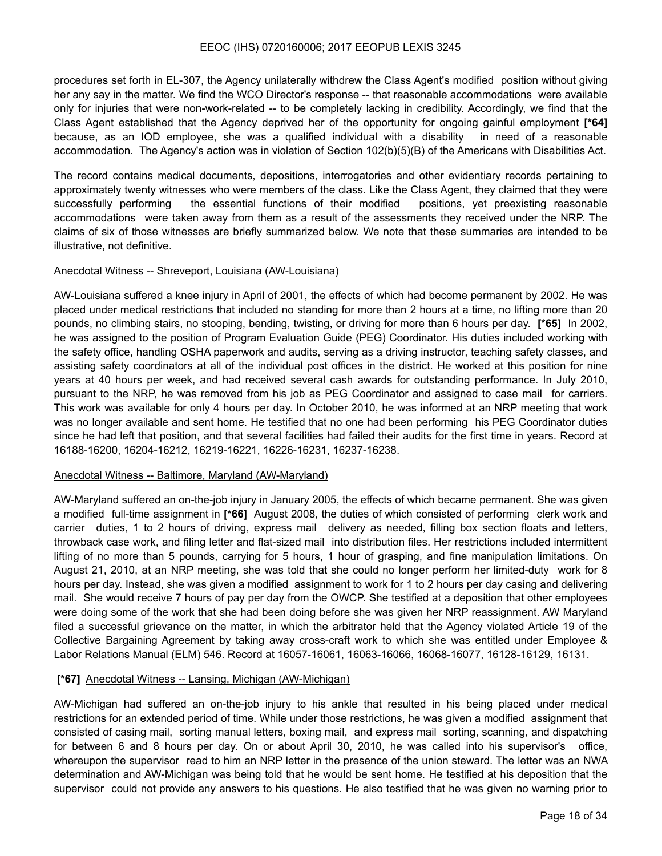procedures set forth in EL-307, the Agency unilaterally withdrew the Class Agent's modified position without giving her any say in the matter. We find the WCO Director's response -- that reasonable accommodations were available only for injuries that were non-work-related -- to be completely lacking in credibility. Accordingly, we find that the Class Agent established that the Agency deprived her of the opportunity for ongoing gainful employment **[\*64]**  because, as an IOD employee, she was a qualified individual with a disability in need of a reasonable accommodation. The Agency's action was in violation of Section 102(b)(5)(B) of the Americans with Disabilities Act.

The record contains medical documents, depositions, interrogatories and other evidentiary records pertaining to approximately twenty witnesses who were members of the class. Like the Class Agent, they claimed that they were successfully performing the essential functions of their modified positions, yet preexisting reasonable accommodations were taken away from them as a result of the assessments they received under the NRP. The claims of six of those witnesses are briefly summarized below. We note that these summaries are intended to be illustrative, not definitive.

#### Anecdotal Witness -- Shreveport, Louisiana (AW-Louisiana)

AW-Louisiana suffered a knee injury in April of 2001, the effects of which had become permanent by 2002. He was placed under medical restrictions that included no standing for more than 2 hours at a time, no lifting more than 20 pounds, no climbing stairs, no stooping, bending, twisting, or driving for more than 6 hours per day. **[\*65]** In 2002, he was assigned to the position of Program Evaluation Guide (PEG) Coordinator. His duties included working with the safety office, handling OSHA paperwork and audits, serving as a driving instructor, teaching safety classes, and assisting safety coordinators at all of the individual post offices in the district. He worked at this position for nine years at 40 hours per week, and had received several cash awards for outstanding performance. In July 2010, pursuant to the NRP, he was removed from his job as PEG Coordinator and assigned to case mail for carriers. This work was available for only 4 hours per day. In October 2010, he was informed at an NRP meeting that work was no longer available and sent home. He testified that no one had been performing his PEG Coordinator duties since he had left that position, and that several facilities had failed their audits for the first time in years. Record at 16188-16200, 16204-16212, 16219-16221, 16226-16231, 16237-16238.

#### Anecdotal Witness -- Baltimore, Maryland (AW-Maryland)

AW-Maryland suffered an on-the-job injury in January 2005, the effects of which became permanent. She was given a modified full-time assignment in **[\*66]** August 2008, the duties of which consisted of performing clerk work and carrier duties, 1 to 2 hours of driving, express mail delivery as needed, filling box section floats and letters, throwback case work, and filing letter and flat-sized mail into distribution files. Her restrictions included intermittent lifting of no more than 5 pounds, carrying for 5 hours, 1 hour of grasping, and fine manipulation limitations. On August 21, 2010, at an NRP meeting, she was told that she could no longer perform her limited-duty work for 8 hours per day. Instead, she was given a modified assignment to work for 1 to 2 hours per day casing and delivering mail. She would receive 7 hours of pay per day from the OWCP. She testified at a deposition that other employees were doing some of the work that she had been doing before she was given her NRP reassignment. AW Maryland filed a successful grievance on the matter, in which the arbitrator held that the Agency violated Article 19 of the Collective Bargaining Agreement by taking away cross-craft work to which she was entitled under Employee & Labor Relations Manual (ELM) 546. Record at 16057-16061, 16063-16066, 16068-16077, 16128-16129, 16131.

#### **[\*67]** Anecdotal Witness -- Lansing, Michigan (AW-Michigan)

AW-Michigan had suffered an on-the-job injury to his ankle that resulted in his being placed under medical restrictions for an extended period of time. While under those restrictions, he was given a modified assignment that consisted of casing mail, sorting manual letters, boxing mail, and express mail sorting, scanning, and dispatching for between 6 and 8 hours per day. On or about April 30, 2010, he was called into his supervisor's office, whereupon the supervisor read to him an NRP letter in the presence of the union steward. The letter was an NWA determination and AW-Michigan was being told that he would be sent home. He testified at his deposition that the supervisor could not provide any answers to his questions. He also testified that he was given no warning prior to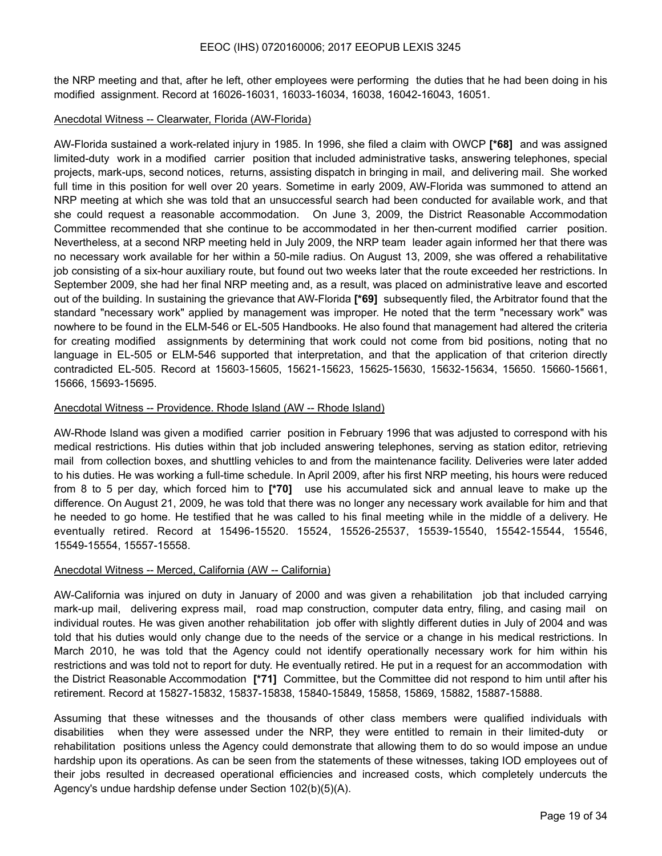the NRP meeting and that, after he left, other employees were performing the duties that he had been doing in his modified assignment. Record at 16026-16031, 16033-16034, 16038, 16042-16043, 16051.

#### Anecdotal Witness -- Clearwater, Florida (AW-Florida)

AW-Florida sustained a work-related injury in 1985. In 1996, she filed a claim with OWCP **[\*68]** and was assigned limited-duty work in a modified carrier position that included administrative tasks, answering telephones, special projects, mark-ups, second notices, returns, assisting dispatch in bringing in mail, and delivering mail. She worked full time in this position for well over 20 years. Sometime in early 2009, AW-Florida was summoned to attend an NRP meeting at which she was told that an unsuccessful search had been conducted for available work, and that she could request a reasonable accommodation. On June 3, 2009, the District Reasonable Accommodation Committee recommended that she continue to be accommodated in her then-current modified carrier position. Nevertheless, at a second NRP meeting held in July 2009, the NRP team leader again informed her that there was no necessary work available for her within a 50-mile radius. On August 13, 2009, she was offered a rehabilitative job consisting of a six-hour auxiliary route, but found out two weeks later that the route exceeded her restrictions. In September 2009, she had her final NRP meeting and, as a result, was placed on administrative leave and escorted out of the building. In sustaining the grievance that AW-Florida **[\*69]** subsequently filed, the Arbitrator found that the standard "necessary work" applied by management was improper. He noted that the term "necessary work" was nowhere to be found in the ELM-546 or EL-505 Handbooks. He also found that management had altered the criteria for creating modified assignments by determining that work could not come from bid positions, noting that no language in EL-505 or ELM-546 supported that interpretation, and that the application of that criterion directly contradicted EL-505. Record at 15603-15605, 15621-15623, 15625-15630, 15632-15634, 15650. 15660-15661, 15666, 15693-15695.

#### Anecdotal Witness -- Providence. Rhode Island (AW -- Rhode Island)

AW-Rhode Island was given a modified carrier position in February 1996 that was adjusted to correspond with his medical restrictions. His duties within that job included answering telephones, serving as station editor, retrieving mail from collection boxes, and shuttling vehicles to and from the maintenance facility. Deliveries were later added to his duties. He was working a full-time schedule. In April 2009, after his first NRP meeting, his hours were reduced from 8 to 5 per day, which forced him to **[\*70]** use his accumulated sick and annual leave to make up the difference. On August 21, 2009, he was told that there was no longer any necessary work available for him and that he needed to go home. He testified that he was called to his final meeting while in the middle of a delivery. He eventually retired. Record at 15496-15520. 15524, 15526-25537, 15539-15540, 15542-15544, 15546, 15549-15554, 15557-15558.

## Anecdotal Witness -- Merced, California (AW -- California)

AW-California was injured on duty in January of 2000 and was given a rehabilitation job that included carrying mark-up mail, delivering express mail, road map construction, computer data entry, filing, and casing mail on individual routes. He was given another rehabilitation job offer with slightly different duties in July of 2004 and was told that his duties would only change due to the needs of the service or a change in his medical restrictions. In March 2010, he was told that the Agency could not identify operationally necessary work for him within his restrictions and was told not to report for duty. He eventually retired. He put in a request for an accommodation with the District Reasonable Accommodation **[\*71]** Committee, but the Committee did not respond to him until after his retirement. Record at 15827-15832, 15837-15838, 15840-15849, 15858, 15869, 15882, 15887-15888.

Assuming that these witnesses and the thousands of other class members were qualified individuals with disabilities when they were assessed under the NRP, they were entitled to remain in their limited-duty or rehabilitation positions unless the Agency could demonstrate that allowing them to do so would impose an undue hardship upon its operations. As can be seen from the statements of these witnesses, taking IOD employees out of their jobs resulted in decreased operational efficiencies and increased costs, which completely undercuts the Agency's undue hardship defense under Section 102(b)(5)(A).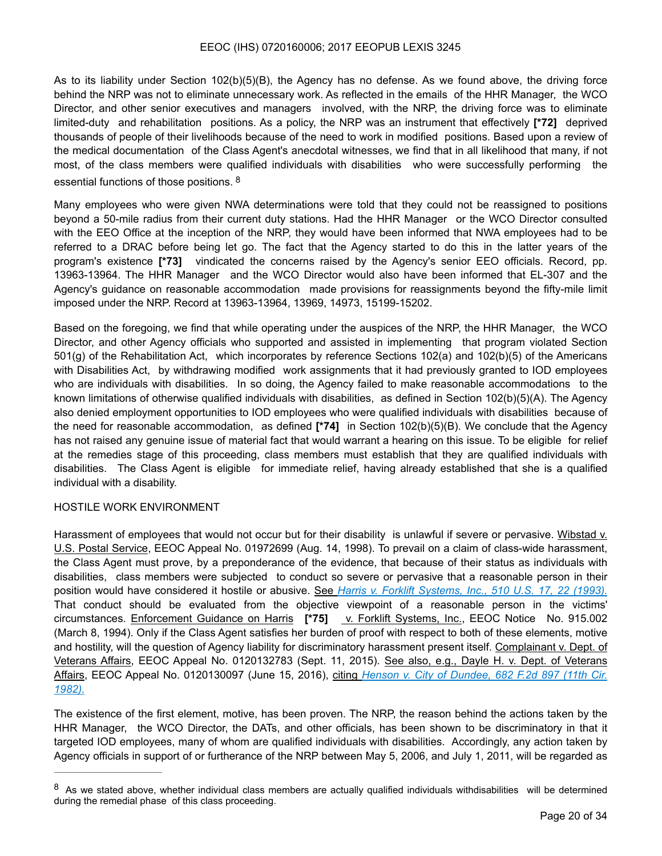As to its liability under Section 102(b)(5)(B), the Agency has no defense. As we found above, the driving force behind the NRP was not to eliminate unnecessary work. As reflected in the emails of the HHR Manager, the WCO Director, and other senior executives and managers involved, with the NRP, the driving force was to eliminate limited-duty and rehabilitation positions. As a policy, the NRP was an instrument that effectively **[\*72]** deprived thousands of people of their livelihoods because of the need to work in modified positions. Based upon a review of the medical documentation of the Class Agent's anecdotal witnesses, we find that in all likelihood that many, if not most, of the class members were qualified individuals with disabilities who were successfully performing the essential functions of those positions. [8](#page-19-0)

<span id="page-19-1"></span>Many employees who were given NWA determinations were told that they could not be reassigned to positions beyond a 50-mile radius from their current duty stations. Had the HHR Manager or the WCO Director consulted with the EEO Office at the inception of the NRP, they would have been informed that NWA employees had to be referred to a DRAC before being let go. The fact that the Agency started to do this in the latter years of the program's existence **[\*73]** vindicated the concerns raised by the Agency's senior EEO officials. Record, pp. 13963-13964. The HHR Manager and the WCO Director would also have been informed that EL-307 and the Agency's guidance on reasonable accommodation made provisions for reassignments beyond the fifty-mile limit imposed under the NRP. Record at 13963-13964, 13969, 14973, 15199-15202.

Based on the foregoing, we find that while operating under the auspices of the NRP, the HHR Manager, the WCO Director, and other Agency officials who supported and assisted in implementing that program violated Section 501(g) of the Rehabilitation Act, which incorporates by reference Sections 102(a) and 102(b)(5) of the Americans with Disabilities Act, by withdrawing modified work assignments that it had previously granted to IOD employees who are individuals with disabilities. In so doing, the Agency failed to make reasonable accommodations to the known limitations of otherwise qualified individuals with disabilities, as defined in Section 102(b)(5)(A). The Agency also denied employment opportunities to IOD employees who were qualified individuals with disabilities because of the need for reasonable accommodation, as defined **[\*74]** in Section 102(b)(5)(B). We conclude that the Agency has not raised any genuine issue of material fact that would warrant a hearing on this issue. To be eligible for relief at the remedies stage of this proceeding, class members must establish that they are qualified individuals with disabilities. The Class Agent is eligible for immediate relief, having already established that she is a qualified individual with a disability.

#### HOSTILE WORK ENVIRONMENT

Harassment of employees that would not occur but for their disability is unlawful if severe or pervasive. Wibstad v. U.S. Postal Service, EEOC Appeal No. 01972699 (Aug. 14, 1998). To prevail on a claim of class-wide harassment, the Class Agent must prove, by a preponderance of the evidence, that because of their status as individuals with disabilities, class members were subjected to conduct so severe or pervasive that a reasonable person in their position would have considered it hostile or abusive. See *Harris v. Forklift Systems, Inc., 510 U.S. 17, 22 (1993).* That conduct should be evaluated from the objective viewpoint of a reasonable person in the victims' circumstances. Enforcement Guidance on Harris **[\*75]** v. Forklift Systems, Inc., EEOC Notice No. 915.002 (March 8, 1994). Only if the Class Agent satisfies her burden of proof with respect to both of these elements, motive and hostility, will the question of Agency liability for discriminatory harassment present itself. Complainant v. Dept. of Veterans Affairs, EEOC Appeal No. 0120132783 (Sept. 11, 2015). See also, e.g., Dayle H. v. Dept. of Veterans Affairs, EEOC Appeal No. 0120130097 (June 15, 2016), citing *Henson v. City of Dundee, 682 F.2d 897 (11th Cir. 1982).*

The existence of the first element, motive, has been proven. The NRP, the reason behind the actions taken by the HHR Manager, the WCO Director, the DATs, and other officials, has been shown to be discriminatory in that it targeted IOD employees, many of whom are qualified individuals with disabilities. Accordingly, any action taken by Agency officials in support of or furtherance of the NRP between May 5, 2006, and July 1, 2011, will be regarded as

<span id="page-19-0"></span> $8$  As we stated above, whether individual class members are actually qualified individuals withdisabilities will be determined during the remedial phase of this class proceeding.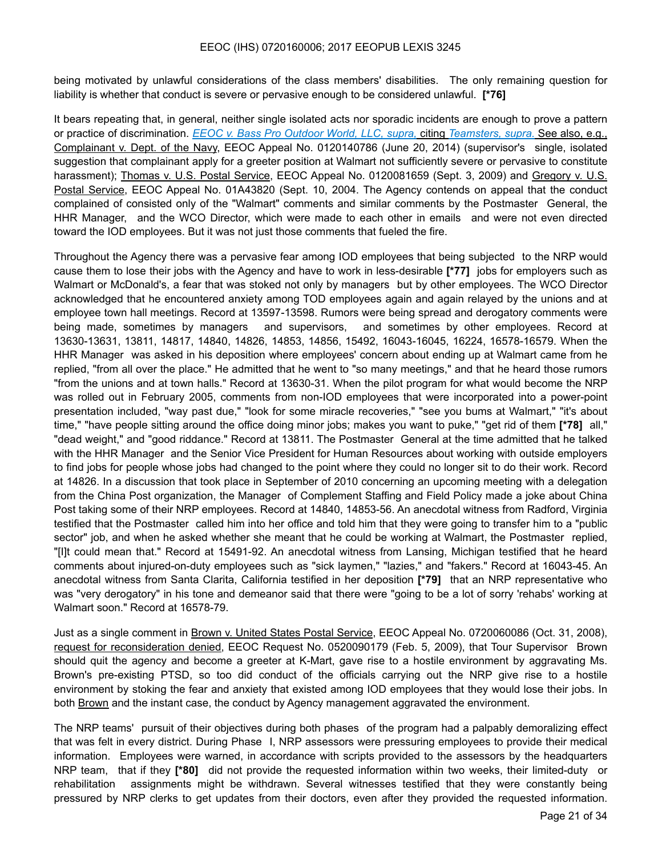being motivated by unlawful considerations of the class members' disabilities. The only remaining question for liability is whether that conduct is severe or pervasive enough to be considered unlawful. **[\*76]** 

It bears repeating that, in general, neither single isolated acts nor sporadic incidents are enough to prove a pattern or practice of discrimination. *EEOC v. Bass Pro Outdoor World, LLC, supra,* citing *Teamsters, supra.* See also, e.g., Complainant v. Dept. of the Navy, EEOC Appeal No. 0120140786 (June 20, 2014) (supervisor's single, isolated suggestion that complainant apply for a greeter position at Walmart not sufficiently severe or pervasive to constitute harassment); Thomas v. U.S. Postal Service, EEOC Appeal No. 0120081659 (Sept. 3, 2009) and Gregory v. U.S. Postal Service, EEOC Appeal No. 01A43820 (Sept. 10, 2004. The Agency contends on appeal that the conduct complained of consisted only of the "Walmart" comments and similar comments by the Postmaster General, the HHR Manager, and the WCO Director, which were made to each other in emails and were not even directed toward the IOD employees. But it was not just those comments that fueled the fire.

Throughout the Agency there was a pervasive fear among IOD employees that being subjected to the NRP would cause them to lose their jobs with the Agency and have to work in less-desirable **[\*77]** jobs for employers such as Walmart or McDonald's, a fear that was stoked not only by managers but by other employees. The WCO Director acknowledged that he encountered anxiety among TOD employees again and again relayed by the unions and at employee town hall meetings. Record at 13597-13598. Rumors were being spread and derogatory comments were being made, sometimes by managers and supervisors, and sometimes by other employees. Record at 13630-13631, 13811, 14817, 14840, 14826, 14853, 14856, 15492, 16043-16045, 16224, 16578-16579. When the HHR Manager was asked in his deposition where employees' concern about ending up at Walmart came from he replied, "from all over the place." He admitted that he went to "so many meetings," and that he heard those rumors "from the unions and at town halls." Record at 13630-31. When the pilot program for what would become the NRP was rolled out in February 2005, comments from non-IOD employees that were incorporated into a power-point presentation included, "way past due," "look for some miracle recoveries," "see you bums at Walmart," "it's about time," "have people sitting around the office doing minor jobs; makes you want to puke," "get rid of them **[\*78]** all," "dead weight," and "good riddance." Record at 13811. The Postmaster General at the time admitted that he talked with the HHR Manager and the Senior Vice President for Human Resources about working with outside employers to find jobs for people whose jobs had changed to the point where they could no longer sit to do their work. Record at 14826. In a discussion that took place in September of 2010 concerning an upcoming meeting with a delegation from the China Post organization, the Manager of Complement Staffing and Field Policy made a joke about China Post taking some of their NRP employees. Record at 14840, 14853-56. An anecdotal witness from Radford, Virginia testified that the Postmaster called him into her office and told him that they were going to transfer him to a "public sector" job, and when he asked whether she meant that he could be working at Walmart, the Postmaster replied, "[I]t could mean that." Record at 15491-92. An anecdotal witness from Lansing, Michigan testified that he heard comments about injured-on-duty employees such as "sick laymen," "lazies," and "fakers." Record at 16043-45. An anecdotal witness from Santa Clarita, California testified in her deposition **[\*79]** that an NRP representative who was "very derogatory" in his tone and demeanor said that there were "going to be a lot of sorry 'rehabs' working at Walmart soon." Record at 16578-79.

Just as a single comment in Brown v. United States Postal Service, EEOC Appeal No. 0720060086 (Oct. 31, 2008), request for reconsideration denied, EEOC Request No. 0520090179 (Feb. 5, 2009), that Tour Supervisor Brown should quit the agency and become a greeter at K-Mart, gave rise to a hostile environment by aggravating Ms. Brown's pre-existing PTSD, so too did conduct of the officials carrying out the NRP give rise to a hostile environment by stoking the fear and anxiety that existed among IOD employees that they would lose their jobs. In both Brown and the instant case, the conduct by Agency management aggravated the environment.

The NRP teams' pursuit of their objectives during both phases of the program had a palpably demoralizing effect that was felt in every district. During Phase I, NRP assessors were pressuring employees to provide their medical information. Employees were warned, in accordance with scripts provided to the assessors by the headquarters NRP team, that if they **[\*80]** did not provide the requested information within two weeks, their limited-duty or rehabilitation assignments might be withdrawn. Several witnesses testified that they were constantly being pressured by NRP clerks to get updates from their doctors, even after they provided the requested information.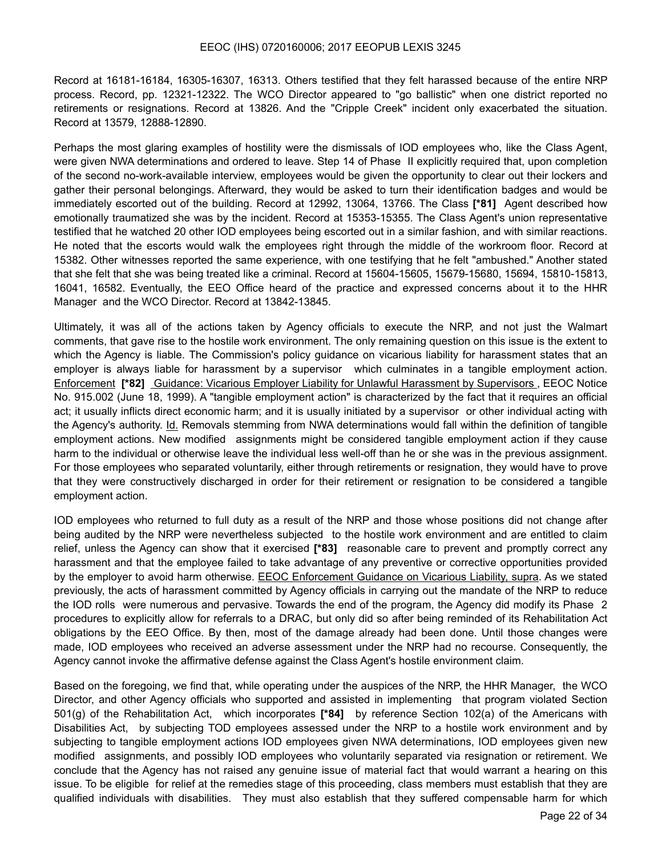Record at 16181-16184, 16305-16307, 16313. Others testified that they felt harassed because of the entire NRP process. Record, pp. 12321-12322. The WCO Director appeared to "go ballistic" when one district reported no retirements or resignations. Record at 13826. And the "Cripple Creek" incident only exacerbated the situation. Record at 13579, 12888-12890.

Perhaps the most glaring examples of hostility were the dismissals of IOD employees who, like the Class Agent, were given NWA determinations and ordered to leave. Step 14 of Phase II explicitly required that, upon completion of the second no-work-available interview, employees would be given the opportunity to clear out their lockers and gather their personal belongings. Afterward, they would be asked to turn their identification badges and would be immediately escorted out of the building. Record at 12992, 13064, 13766. The Class **[\*81]** Agent described how emotionally traumatized she was by the incident. Record at 15353-15355. The Class Agent's union representative testified that he watched 20 other IOD employees being escorted out in a similar fashion, and with similar reactions. He noted that the escorts would walk the employees right through the middle of the workroom floor. Record at 15382. Other witnesses reported the same experience, with one testifying that he felt "ambushed." Another stated that she felt that she was being treated like a criminal. Record at 15604-15605, 15679-15680, 15694, 15810-15813, 16041, 16582. Eventually, the EEO Office heard of the practice and expressed concerns about it to the HHR Manager and the WCO Director. Record at 13842-13845.

Ultimately, it was all of the actions taken by Agency officials to execute the NRP, and not just the Walmart comments, that gave rise to the hostile work environment. The only remaining question on this issue is the extent to which the Agency is liable. The Commission's policy guidance on vicarious liability for harassment states that an employer is always liable for harassment by a supervisor which culminates in a tangible employment action. Enforcement **[\*82]** Guidance: Vicarious Employer Liability for Unlawful Harassment by Supervisors , EEOC Notice No. 915.002 (June 18, 1999). A "tangible employment action" is characterized by the fact that it requires an official act; it usually inflicts direct economic harm; and it is usually initiated by a supervisor or other individual acting with the Agency's authority. Id. Removals stemming from NWA determinations would fall within the definition of tangible employment actions. New modified assignments might be considered tangible employment action if they cause harm to the individual or otherwise leave the individual less well-off than he or she was in the previous assignment. For those employees who separated voluntarily, either through retirements or resignation, they would have to prove that they were constructively discharged in order for their retirement or resignation to be considered a tangible employment action.

IOD employees who returned to full duty as a result of the NRP and those whose positions did not change after being audited by the NRP were nevertheless subjected to the hostile work environment and are entitled to claim relief, unless the Agency can show that it exercised **[\*83]** reasonable care to prevent and promptly correct any harassment and that the employee failed to take advantage of any preventive or corrective opportunities provided by the employer to avoid harm otherwise. EEOC Enforcement Guidance on Vicarious Liability, supra. As we stated previously, the acts of harassment committed by Agency officials in carrying out the mandate of the NRP to reduce the IOD rolls were numerous and pervasive. Towards the end of the program, the Agency did modify its Phase 2 procedures to explicitly allow for referrals to a DRAC, but only did so after being reminded of its Rehabilitation Act obligations by the EEO Office. By then, most of the damage already had been done. Until those changes were made, IOD employees who received an adverse assessment under the NRP had no recourse. Consequently, the Agency cannot invoke the affirmative defense against the Class Agent's hostile environment claim.

Based on the foregoing, we find that, while operating under the auspices of the NRP, the HHR Manager, the WCO Director, and other Agency officials who supported and assisted in implementing that program violated Section 501(g) of the Rehabilitation Act, which incorporates **[\*84]** by reference Section 102(a) of the Americans with Disabilities Act, by subjecting TOD employees assessed under the NRP to a hostile work environment and by subjecting to tangible employment actions IOD employees given NWA determinations, IOD employees given new modified assignments, and possibly IOD employees who voluntarily separated via resignation or retirement. We conclude that the Agency has not raised any genuine issue of material fact that would warrant a hearing on this issue. To be eligible for relief at the remedies stage of this proceeding, class members must establish that they are qualified individuals with disabilities. They must also establish that they suffered compensable harm for which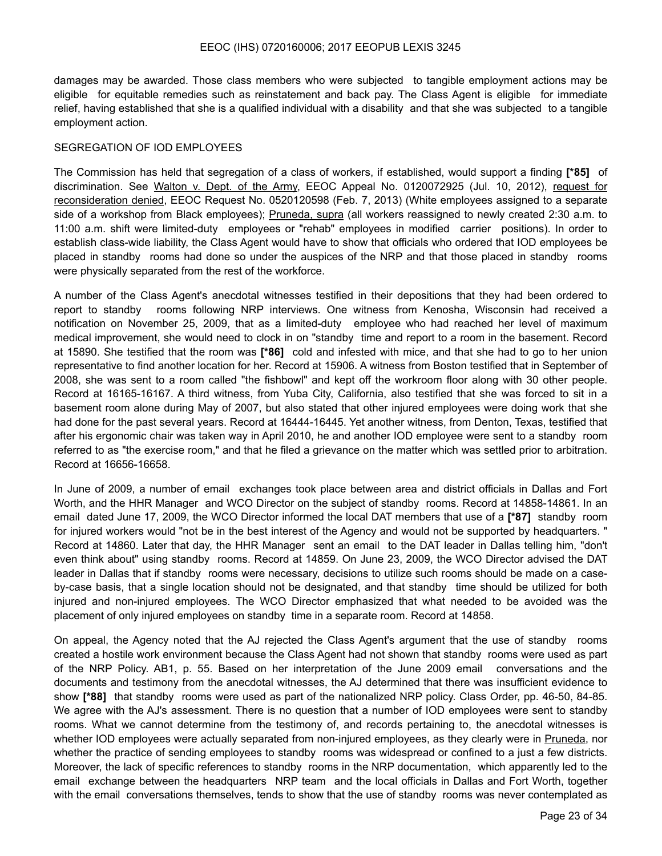damages may be awarded. Those class members who were subjected to tangible employment actions may be eligible for equitable remedies such as reinstatement and back pay. The Class Agent is eligible for immediate relief, having established that she is a qualified individual with a disability and that she was subjected to a tangible employment action.

#### SEGREGATION OF IOD EMPLOYEES

The Commission has held that segregation of a class of workers, if established, would support a finding **[\*85]** of discrimination. See Walton v. Dept. of the Army, EEOC Appeal No. 0120072925 (Jul. 10, 2012), request for reconsideration denied, EEOC Request No. 0520120598 (Feb. 7, 2013) (White employees assigned to a separate side of a workshop from Black employees); Pruneda, supra (all workers reassigned to newly created 2:30 a.m. to 11:00 a.m. shift were limited-duty employees or "rehab" employees in modified carrier positions). In order to establish class-wide liability, the Class Agent would have to show that officials who ordered that IOD employees be placed in standby rooms had done so under the auspices of the NRP and that those placed in standby rooms were physically separated from the rest of the workforce.

A number of the Class Agent's anecdotal witnesses testified in their depositions that they had been ordered to report to standby rooms following NRP interviews. One witness from Kenosha, Wisconsin had received a notification on November 25, 2009, that as a limited-duty employee who had reached her level of maximum medical improvement, she would need to clock in on "standby time and report to a room in the basement. Record at 15890. She testified that the room was **[\*86]** cold and infested with mice, and that she had to go to her union representative to find another location for her. Record at 15906. A witness from Boston testified that in September of 2008, she was sent to a room called "the fishbowl" and kept off the workroom floor along with 30 other people. Record at 16165-16167. A third witness, from Yuba City, California, also testified that she was forced to sit in a basement room alone during May of 2007, but also stated that other injured employees were doing work that she had done for the past several years. Record at 16444-16445. Yet another witness, from Denton, Texas, testified that after his ergonomic chair was taken way in April 2010, he and another IOD employee were sent to a standby room referred to as "the exercise room," and that he filed a grievance on the matter which was settled prior to arbitration. Record at 16656-16658.

In June of 2009, a number of email exchanges took place between area and district officials in Dallas and Fort Worth, and the HHR Manager and WCO Director on the subject of standby rooms. Record at 14858-14861. In an email dated June 17, 2009, the WCO Director informed the local DAT members that use of a **[\*87]** standby room for injured workers would "not be in the best interest of the Agency and would not be supported by headquarters. " Record at 14860. Later that day, the HHR Manager sent an email to the DAT leader in Dallas telling him, "don't even think about" using standby rooms. Record at 14859. On June 23, 2009, the WCO Director advised the DAT leader in Dallas that if standby rooms were necessary, decisions to utilize such rooms should be made on a caseby-case basis, that a single location should not be designated, and that standby time should be utilized for both injured and non-injured employees. The WCO Director emphasized that what needed to be avoided was the placement of only injured employees on standby time in a separate room. Record at 14858.

On appeal, the Agency noted that the AJ rejected the Class Agent's argument that the use of standby rooms created a hostile work environment because the Class Agent had not shown that standby rooms were used as part of the NRP Policy. AB1, p. 55. Based on her interpretation of the June 2009 email conversations and the documents and testimony from the anecdotal witnesses, the AJ determined that there was insufficient evidence to show **[\*88]** that standby rooms were used as part of the nationalized NRP policy. Class Order, pp. 46-50, 84-85. We agree with the AJ's assessment. There is no question that a number of IOD employees were sent to standby rooms. What we cannot determine from the testimony of, and records pertaining to, the anecdotal witnesses is whether IOD employees were actually separated from non-injured employees, as they clearly were in Pruneda, nor whether the practice of sending employees to standby rooms was widespread or confined to a just a few districts. Moreover, the lack of specific references to standby rooms in the NRP documentation, which apparently led to the email exchange between the headquarters NRP team and the local officials in Dallas and Fort Worth, together with the email conversations themselves, tends to show that the use of standby rooms was never contemplated as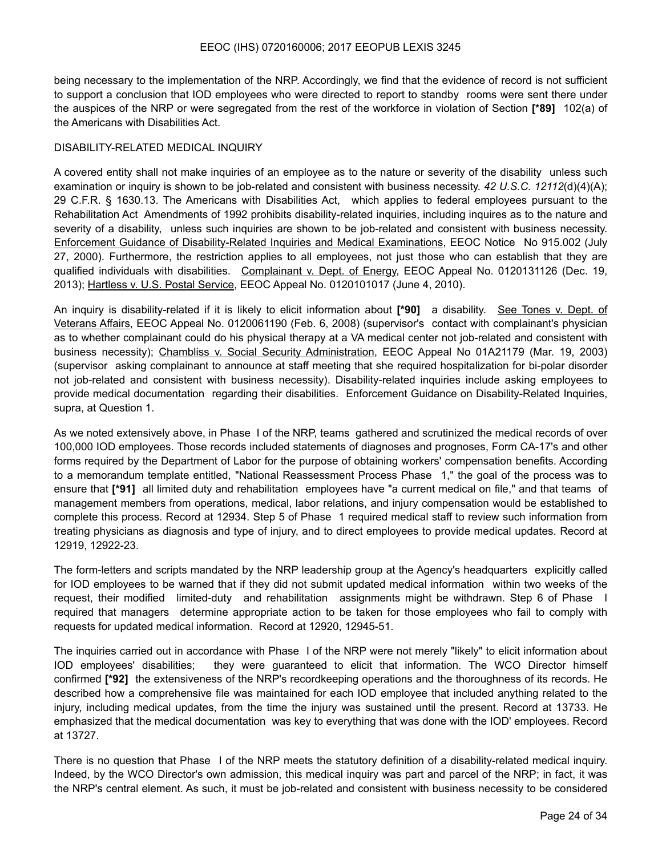being necessary to the implementation of the NRP. Accordingly, we find that the evidence of record is not sufficient to support a conclusion that IOD employees who were directed to report to standby rooms were sent there under the auspices of the NRP or were segregated from the rest of the workforce in violation of Section **[\*89]** 102(a) of the Americans with Disabilities Act.

#### DISABILITY-RELATED MEDICAL INQUIRY

A covered entity shall not make inquiries of an employee as to the nature or severity of the disability unless such examination or inquiry is shown to be job-related and consistent with business necessity. *42 U.S.C. 12112*(d)(4)(A); 29 C.F.R. § 1630.13. The Americans with Disabilities Act, which applies to federal employees pursuant to the Rehabilitation Act Amendments of 1992 prohibits disability-related inquiries, including inquires as to the nature and severity of a disability, unless such inquiries are shown to be job-related and consistent with business necessity. Enforcement Guidance of Disability-Related Inquiries and Medical Examinations, EEOC Notice No 915.002 (July 27, 2000). Furthermore, the restriction applies to all employees, not just those who can establish that they are qualified individuals with disabilities. Complainant v. Dept. of Energy, EEOC Appeal No. 0120131126 (Dec. 19, 2013); Hartless v. U.S. Postal Service, EEOC Appeal No. 0120101017 (June 4, 2010).

An inquiry is disability-related if it is likely to elicit information about **[\*90]** a disability. See Tones v. Dept. of Veterans Affairs, EEOC Appeal No. 0120061190 (Feb. 6, 2008) (supervisor's contact with complainant's physician as to whether complainant could do his physical therapy at a VA medical center not job-related and consistent with business necessity); Chambliss v. Social Security Administration, EEOC Appeal No 01A21179 (Mar. 19, 2003) (supervisor asking complainant to announce at staff meeting that she required hospitalization for bi-polar disorder not job-related and consistent with business necessity). Disability-related inquiries include asking employees to provide medical documentation regarding their disabilities. Enforcement Guidance on Disability-Related Inquiries, supra, at Question 1.

As we noted extensively above, in Phase I of the NRP, teams gathered and scrutinized the medical records of over 100,000 IOD employees. Those records included statements of diagnoses and prognoses, Form CA-17's and other forms required by the Department of Labor for the purpose of obtaining workers' compensation benefits. According to a memorandum template entitled, "National Reassessment Process Phase 1," the goal of the process was to ensure that **[\*91]** all limited duty and rehabilitation employees have "a current medical on file," and that teams of management members from operations, medical, labor relations, and injury compensation would be established to complete this process. Record at 12934. Step 5 of Phase 1 required medical staff to review such information from treating physicians as diagnosis and type of injury, and to direct employees to provide medical updates. Record at 12919, 12922-23.

The form-letters and scripts mandated by the NRP leadership group at the Agency's headquarters explicitly called for IOD employees to be warned that if they did not submit updated medical information within two weeks of the request, their modified limited-duty and rehabilitation assignments might be withdrawn. Step 6 of Phase I required that managers determine appropriate action to be taken for those employees who fail to comply with requests for updated medical information. Record at 12920, 12945-51.

The inquiries carried out in accordance with Phase I of the NRP were not merely "likely" to elicit information about IOD employees' disabilities; they were guaranteed to elicit that information. The WCO Director himself confirmed **[\*92]** the extensiveness of the NRP's recordkeeping operations and the thoroughness of its records. He described how a comprehensive file was maintained for each IOD employee that included anything related to the injury, including medical updates, from the time the injury was sustained until the present. Record at 13733. He emphasized that the medical documentation was key to everything that was done with the IOD' employees. Record at 13727.

There is no question that Phase I of the NRP meets the statutory definition of a disability-related medical inquiry. Indeed, by the WCO Director's own admission, this medical inquiry was part and parcel of the NRP; in fact, it was the NRP's central element. As such, it must be job-related and consistent with business necessity to be considered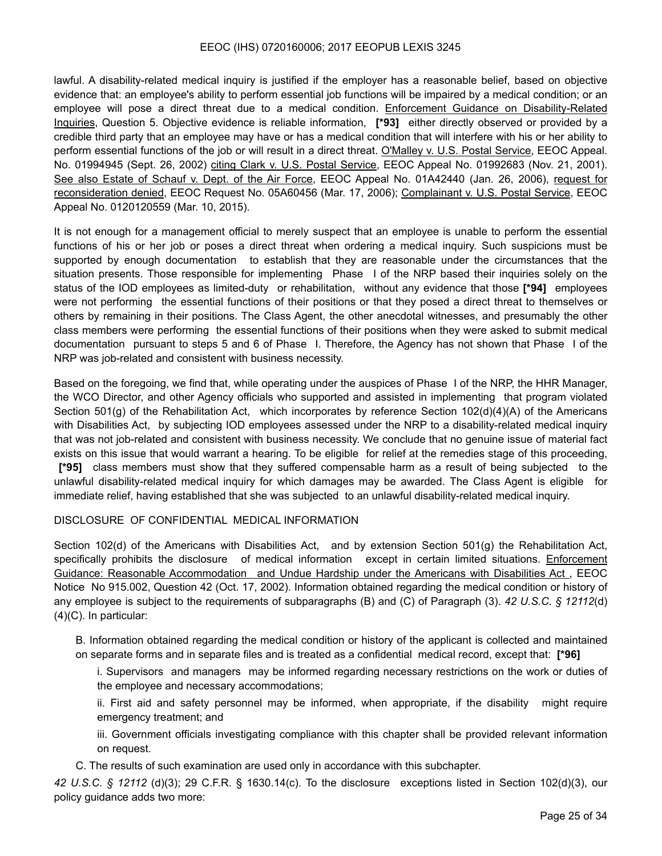lawful. A disability-related medical inquiry is justified if the employer has a reasonable belief, based on objective evidence that: an employee's ability to perform essential job functions will be impaired by a medical condition; or an employee will pose a direct threat due to a medical condition. Enforcement Guidance on Disability-Related Inquiries, Question 5. Objective evidence is reliable information, **[\*93]** either directly observed or provided by a credible third party that an employee may have or has a medical condition that will interfere with his or her ability to perform essential functions of the job or will result in a direct threat. O'Malley v. U.S. Postal Service, EEOC Appeal. No. 01994945 (Sept. 26, 2002) citing Clark v. U.S. Postal Service, EEOC Appeal No. 01992683 (Nov. 21, 2001). See also Estate of Schauf v. Dept. of the Air Force, EEOC Appeal No. 01A42440 (Jan. 26, 2006), request for reconsideration denied, EEOC Request No. 05A60456 (Mar. 17, 2006); Complainant v. U.S. Postal Service, EEOC Appeal No. 0120120559 (Mar. 10, 2015).

It is not enough for a management official to merely suspect that an employee is unable to perform the essential functions of his or her job or poses a direct threat when ordering a medical inquiry. Such suspicions must be supported by enough documentation to establish that they are reasonable under the circumstances that the situation presents. Those responsible for implementing Phase I of the NRP based their inquiries solely on the status of the IOD employees as limited-duty or rehabilitation, without any evidence that those **[\*94]** employees were not performing the essential functions of their positions or that they posed a direct threat to themselves or others by remaining in their positions. The Class Agent, the other anecdotal witnesses, and presumably the other class members were performing the essential functions of their positions when they were asked to submit medical documentation pursuant to steps 5 and 6 of Phase I. Therefore, the Agency has not shown that Phase I of the NRP was job-related and consistent with business necessity.

Based on the foregoing, we find that, while operating under the auspices of Phase I of the NRP, the HHR Manager, the WCO Director, and other Agency officials who supported and assisted in implementing that program violated Section 501(g) of the Rehabilitation Act, which incorporates by reference Section 102(d)(4)(A) of the Americans with Disabilities Act, by subjecting IOD employees assessed under the NRP to a disability-related medical inquiry that was not job-related and consistent with business necessity. We conclude that no genuine issue of material fact exists on this issue that would warrant a hearing. To be eligible for relief at the remedies stage of this proceeding,  **[\*95]** class members must show that they suffered compensable harm as a result of being subjected to the unlawful disability-related medical inquiry for which damages may be awarded. The Class Agent is eligible for immediate relief, having established that she was subjected to an unlawful disability-related medical inquiry.

## DISCLOSURE OF CONFIDENTIAL MEDICAL INFORMATION

Section 102(d) of the Americans with Disabilities Act, and by extension Section 501(g) the Rehabilitation Act, specifically prohibits the disclosure of medical information except in certain limited situations. Enforcement Guidance: Reasonable Accommodation and Undue Hardship under the Americans with Disabilities Act , EEOC Notice No 915.002, Question 42 (Oct. 17, 2002). Information obtained regarding the medical condition or history of any employee is subject to the requirements of subparagraphs (B) and (C) of Paragraph (3). *42 U.S.C. § 12112*(d) (4)(C). In particular:

B. Information obtained regarding the medical condition or history of the applicant is collected and maintained on separate forms and in separate files and is treated as a confidential medical record, except that: **[\*96]** 

i. Supervisors and managers may be informed regarding necessary restrictions on the work or duties of the employee and necessary accommodations;

ii. First aid and safety personnel may be informed, when appropriate, if the disability might require emergency treatment; and

iii. Government officials investigating compliance with this chapter shall be provided relevant information on request.

C. The results of such examination are used only in accordance with this subchapter.

*42 U.S.C. § 12112* (d)(3); 29 C.F.R. § 1630.14(c). To the disclosure exceptions listed in Section 102(d)(3), our policy guidance adds two more: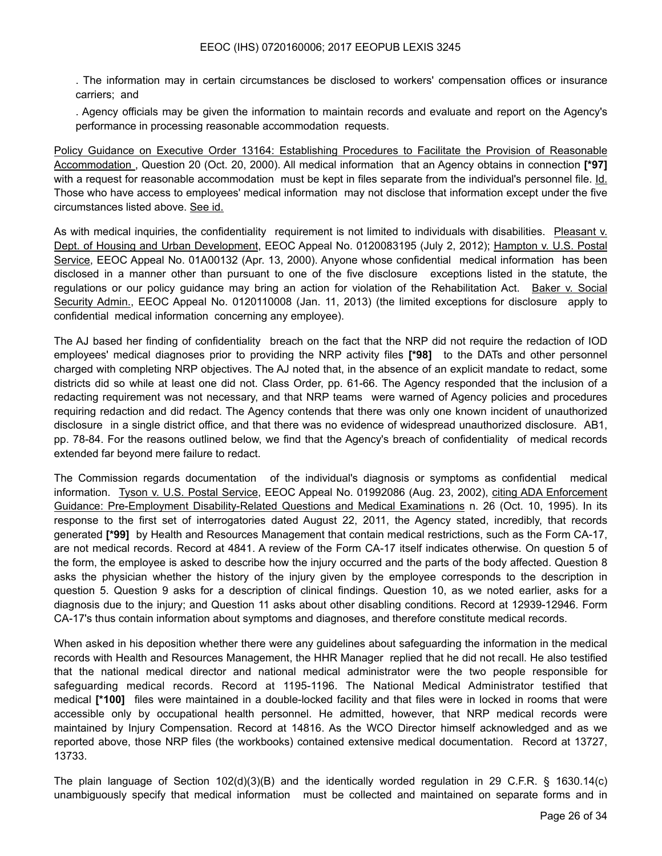. The information may in certain circumstances be disclosed to workers' compensation offices or insurance carriers; and

. Agency officials may be given the information to maintain records and evaluate and report on the Agency's performance in processing reasonable accommodation requests.

Policy Guidance on Executive Order 13164: Establishing Procedures to Facilitate the Provision of Reasonable Accommodation , Question 20 (Oct. 20, 2000). All medical information that an Agency obtains in connection **[\*97]**  with a request for reasonable accommodation must be kept in files separate from the individual's personnel file. Id. Those who have access to employees' medical information may not disclose that information except under the five circumstances listed above. See id.

As with medical inquiries, the confidentiality requirement is not limited to individuals with disabilities. Pleasant v. Dept. of Housing and Urban Development, EEOC Appeal No. 0120083195 (July 2, 2012); Hampton v. U.S. Postal Service, EEOC Appeal No. 01A00132 (Apr. 13, 2000). Anyone whose confidential medical information has been disclosed in a manner other than pursuant to one of the five disclosure exceptions listed in the statute, the regulations or our policy guidance may bring an action for violation of the Rehabilitation Act. Baker v. Social Security Admin., EEOC Appeal No. 0120110008 (Jan. 11, 2013) (the limited exceptions for disclosure apply to confidential medical information concerning any employee).

The AJ based her finding of confidentiality breach on the fact that the NRP did not require the redaction of IOD employees' medical diagnoses prior to providing the NRP activity files **[\*98]** to the DATs and other personnel charged with completing NRP objectives. The AJ noted that, in the absence of an explicit mandate to redact, some districts did so while at least one did not. Class Order, pp. 61-66. The Agency responded that the inclusion of a redacting requirement was not necessary, and that NRP teams were warned of Agency policies and procedures requiring redaction and did redact. The Agency contends that there was only one known incident of unauthorized disclosure in a single district office, and that there was no evidence of widespread unauthorized disclosure. AB1, pp. 78-84. For the reasons outlined below, we find that the Agency's breach of confidentiality of medical records extended far beyond mere failure to redact.

The Commission regards documentation of the individual's diagnosis or symptoms as confidential medical information. Tyson v. U.S. Postal Service, EEOC Appeal No. 01992086 (Aug. 23, 2002), citing ADA Enforcement Guidance: Pre-Employment Disability-Related Questions and Medical Examinations n. 26 (Oct. 10, 1995). In its response to the first set of interrogatories dated August 22, 2011, the Agency stated, incredibly, that records generated **[\*99]** by Health and Resources Management that contain medical restrictions, such as the Form CA-17, are not medical records. Record at 4841. A review of the Form CA-17 itself indicates otherwise. On question 5 of the form, the employee is asked to describe how the injury occurred and the parts of the body affected. Question 8 asks the physician whether the history of the injury given by the employee corresponds to the description in question 5. Question 9 asks for a description of clinical findings. Question 10, as we noted earlier, asks for a diagnosis due to the injury; and Question 11 asks about other disabling conditions. Record at 12939-12946. Form CA-17's thus contain information about symptoms and diagnoses, and therefore constitute medical records.

When asked in his deposition whether there were any guidelines about safeguarding the information in the medical records with Health and Resources Management, the HHR Manager replied that he did not recall. He also testified that the national medical director and national medical administrator were the two people responsible for safeguarding medical records. Record at 1195-1196. The National Medical Administrator testified that medical **[\*100]** files were maintained in a double-locked facility and that files were in locked in rooms that were accessible only by occupational health personnel. He admitted, however, that NRP medical records were maintained by Injury Compensation. Record at 14816. As the WCO Director himself acknowledged and as we reported above, those NRP files (the workbooks) contained extensive medical documentation. Record at 13727, 13733.

The plain language of Section 102(d)(3)(B) and the identically worded regulation in 29 C.F.R. § 1630.14(c) unambiguously specify that medical information must be collected and maintained on separate forms and in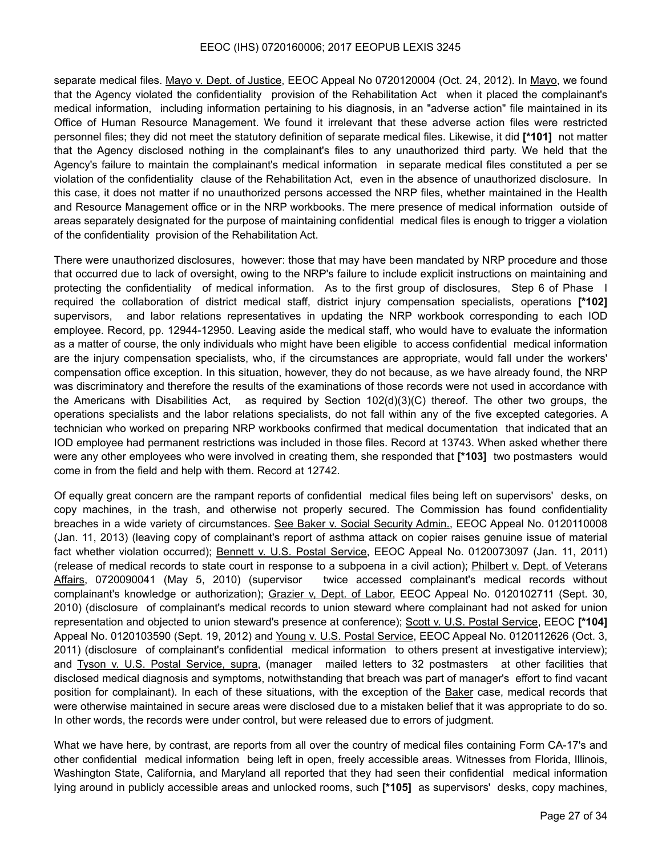separate medical files. Mayo v. Dept. of Justice, EEOC Appeal No 0720120004 (Oct. 24, 2012). In Mayo, we found that the Agency violated the confidentiality provision of the Rehabilitation Act when it placed the complainant's medical information, including information pertaining to his diagnosis, in an "adverse action" file maintained in its Office of Human Resource Management. We found it irrelevant that these adverse action files were restricted personnel files; they did not meet the statutory definition of separate medical files. Likewise, it did **[\*101]** not matter that the Agency disclosed nothing in the complainant's files to any unauthorized third party. We held that the Agency's failure to maintain the complainant's medical information in separate medical files constituted a per se violation of the confidentiality clause of the Rehabilitation Act, even in the absence of unauthorized disclosure. In this case, it does not matter if no unauthorized persons accessed the NRP files, whether maintained in the Health and Resource Management office or in the NRP workbooks. The mere presence of medical information outside of areas separately designated for the purpose of maintaining confidential medical files is enough to trigger a violation of the confidentiality provision of the Rehabilitation Act.

There were unauthorized disclosures, however: those that may have been mandated by NRP procedure and those that occurred due to lack of oversight, owing to the NRP's failure to include explicit instructions on maintaining and protecting the confidentiality of medical information. As to the first group of disclosures, Step 6 of Phase I required the collaboration of district medical staff, district injury compensation specialists, operations **[\*102]**  supervisors, and labor relations representatives in updating the NRP workbook corresponding to each IOD employee. Record, pp. 12944-12950. Leaving aside the medical staff, who would have to evaluate the information as a matter of course, the only individuals who might have been eligible to access confidential medical information are the injury compensation specialists, who, if the circumstances are appropriate, would fall under the workers' compensation office exception. In this situation, however, they do not because, as we have already found, the NRP was discriminatory and therefore the results of the examinations of those records were not used in accordance with the Americans with Disabilities Act, as required by Section 102(d)(3)(C) thereof. The other two groups, the operations specialists and the labor relations specialists, do not fall within any of the five excepted categories. A technician who worked on preparing NRP workbooks confirmed that medical documentation that indicated that an IOD employee had permanent restrictions was included in those files. Record at 13743. When asked whether there were any other employees who were involved in creating them, she responded that **[\*103]** two postmasters would come in from the field and help with them. Record at 12742.

Of equally great concern are the rampant reports of confidential medical files being left on supervisors' desks, on copy machines, in the trash, and otherwise not properly secured. The Commission has found confidentiality breaches in a wide variety of circumstances. See Baker v. Social Security Admin., EEOC Appeal No. 0120110008 (Jan. 11, 2013) (leaving copy of complainant's report of asthma attack on copier raises genuine issue of material fact whether violation occurred); Bennett v. U.S. Postal Service, EEOC Appeal No. 0120073097 (Jan. 11, 2011) (release of medical records to state court in response to a subpoena in a civil action); Philbert v. Dept. of Veterans Affairs, 0720090041 (May 5, 2010) (supervisor twice accessed complainant's medical records without complainant's knowledge or authorization); Grazier v, Dept. of Labor, EEOC Appeal No. 0120102711 (Sept. 30, 2010) (disclosure of complainant's medical records to union steward where complainant had not asked for union representation and objected to union steward's presence at conference); Scott v. U.S. Postal Service, EEOC **[\*104]**  Appeal No. 0120103590 (Sept. 19, 2012) and Young v. U.S. Postal Service, EEOC Appeal No. 0120112626 (Oct. 3, 2011) (disclosure of complainant's confidential medical information to others present at investigative interview); and Tyson v. U.S. Postal Service, supra, (manager mailed letters to 32 postmasters at other facilities that disclosed medical diagnosis and symptoms, notwithstanding that breach was part of manager's effort to find vacant position for complainant). In each of these situations, with the exception of the Baker case, medical records that were otherwise maintained in secure areas were disclosed due to a mistaken belief that it was appropriate to do so. In other words, the records were under control, but were released due to errors of judgment.

What we have here, by contrast, are reports from all over the country of medical files containing Form CA-17's and other confidential medical information being left in open, freely accessible areas. Witnesses from Florida, Illinois, Washington State, California, and Maryland all reported that they had seen their confidential medical information lying around in publicly accessible areas and unlocked rooms, such **[\*105]** as supervisors' desks, copy machines,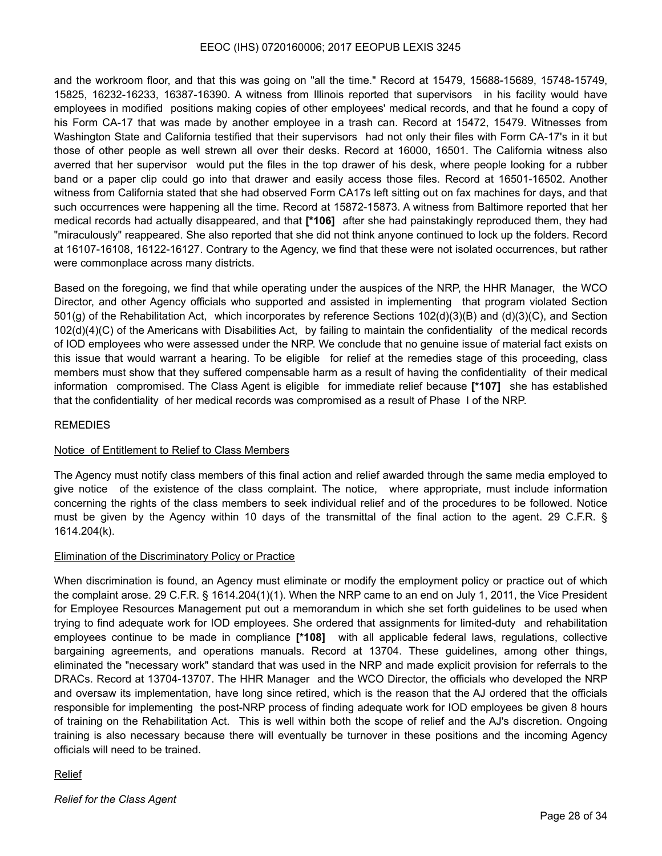and the workroom floor, and that this was going on "all the time." Record at 15479, 15688-15689, 15748-15749, 15825, 16232-16233, 16387-16390. A witness from Illinois reported that supervisors in his facility would have employees in modified positions making copies of other employees' medical records, and that he found a copy of his Form CA-17 that was made by another employee in a trash can. Record at 15472, 15479. Witnesses from Washington State and California testified that their supervisors had not only their files with Form CA-17's in it but those of other people as well strewn all over their desks. Record at 16000, 16501. The California witness also averred that her supervisor would put the files in the top drawer of his desk, where people looking for a rubber band or a paper clip could go into that drawer and easily access those files. Record at 16501-16502. Another witness from California stated that she had observed Form CA17s left sitting out on fax machines for days, and that such occurrences were happening all the time. Record at 15872-15873. A witness from Baltimore reported that her medical records had actually disappeared, and that **[\*106]** after she had painstakingly reproduced them, they had "miraculously" reappeared. She also reported that she did not think anyone continued to lock up the folders. Record at 16107-16108, 16122-16127. Contrary to the Agency, we find that these were not isolated occurrences, but rather were commonplace across many districts.

Based on the foregoing, we find that while operating under the auspices of the NRP, the HHR Manager, the WCO Director, and other Agency officials who supported and assisted in implementing that program violated Section 501(g) of the Rehabilitation Act, which incorporates by reference Sections 102(d)(3)(B) and (d)(3)(C), and Section 102(d)(4)(C) of the Americans with Disabilities Act, by failing to maintain the confidentiality of the medical records of IOD employees who were assessed under the NRP. We conclude that no genuine issue of material fact exists on this issue that would warrant a hearing. To be eligible for relief at the remedies stage of this proceeding, class members must show that they suffered compensable harm as a result of having the confidentiality of their medical information compromised. The Class Agent is eligible for immediate relief because **[\*107]** she has established that the confidentiality of her medical records was compromised as a result of Phase I of the NRP.

#### **REMEDIES**

#### Notice of Entitlement to Relief to Class Members

The Agency must notify class members of this final action and relief awarded through the same media employed to give notice of the existence of the class complaint. The notice, where appropriate, must include information concerning the rights of the class members to seek individual relief and of the procedures to be followed. Notice must be given by the Agency within 10 days of the transmittal of the final action to the agent. 29 C.F.R. § 1614.204(k).

#### Elimination of the Discriminatory Policy or Practice

When discrimination is found, an Agency must eliminate or modify the employment policy or practice out of which the complaint arose. 29 C.F.R. § 1614.204(1)(1). When the NRP came to an end on July 1, 2011, the Vice President for Employee Resources Management put out a memorandum in which she set forth guidelines to be used when trying to find adequate work for IOD employees. She ordered that assignments for limited-duty and rehabilitation employees continue to be made in compliance **[\*108]** with all applicable federal laws, regulations, collective bargaining agreements, and operations manuals. Record at 13704. These guidelines, among other things, eliminated the "necessary work" standard that was used in the NRP and made explicit provision for referrals to the DRACs. Record at 13704-13707. The HHR Manager and the WCO Director, the officials who developed the NRP and oversaw its implementation, have long since retired, which is the reason that the AJ ordered that the officials responsible for implementing the post-NRP process of finding adequate work for IOD employees be given 8 hours of training on the Rehabilitation Act. This is well within both the scope of relief and the AJ's discretion. Ongoing training is also necessary because there will eventually be turnover in these positions and the incoming Agency officials will need to be trained.

## Relief

*Relief for the Class Agent*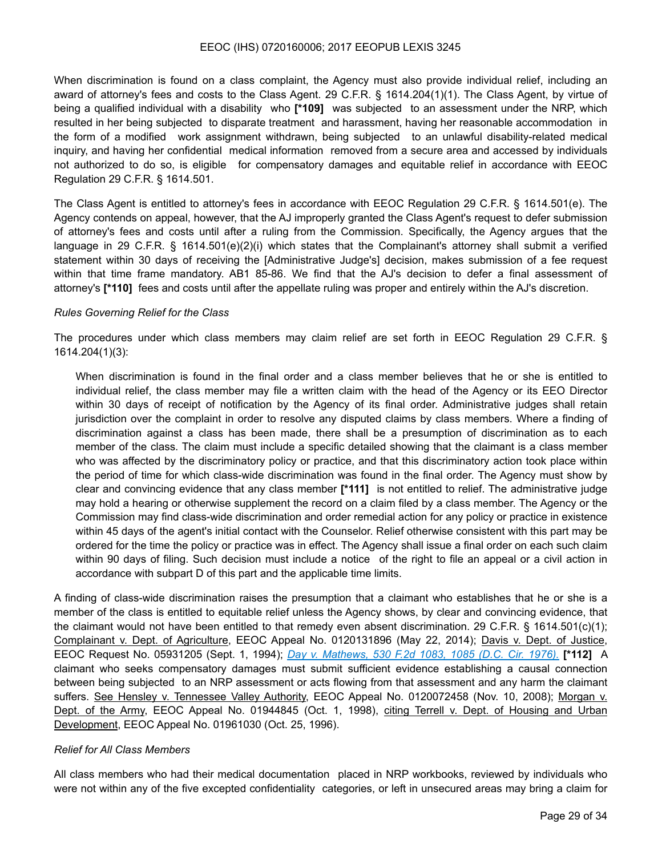When discrimination is found on a class complaint, the Agency must also provide individual relief, including an award of attorney's fees and costs to the Class Agent. 29 C.F.R. § 1614.204(1)(1). The Class Agent, by virtue of being a qualified individual with a disability who **[\*109]** was subjected to an assessment under the NRP, which resulted in her being subjected to disparate treatment and harassment, having her reasonable accommodation in the form of a modified work assignment withdrawn, being subjected to an unlawful disability-related medical inquiry, and having her confidential medical information removed from a secure area and accessed by individuals not authorized to do so, is eligible for compensatory damages and equitable relief in accordance with EEOC Regulation 29 C.F.R. § 1614.501.

The Class Agent is entitled to attorney's fees in accordance with EEOC Regulation 29 C.F.R. § 1614.501(e). The Agency contends on appeal, however, that the AJ improperly granted the Class Agent's request to defer submission of attorney's fees and costs until after a ruling from the Commission. Specifically, the Agency argues that the language in 29 C.F.R. § 1614.501(e)(2)(i) which states that the Complainant's attorney shall submit a verified statement within 30 days of receiving the [Administrative Judge's] decision, makes submission of a fee request within that time frame mandatory. AB1 85-86. We find that the AJ's decision to defer a final assessment of attorney's **[\*110]** fees and costs until after the appellate ruling was proper and entirely within the AJ's discretion.

#### *Rules Governing Relief for the Class*

The procedures under which class members may claim relief are set forth in EEOC Regulation 29 C.F.R. § 1614.204(1)(3):

When discrimination is found in the final order and a class member believes that he or she is entitled to individual relief, the class member may file a written claim with the head of the Agency or its EEO Director within 30 days of receipt of notification by the Agency of its final order. Administrative judges shall retain jurisdiction over the complaint in order to resolve any disputed claims by class members. Where a finding of discrimination against a class has been made, there shall be a presumption of discrimination as to each member of the class. The claim must include a specific detailed showing that the claimant is a class member who was affected by the discriminatory policy or practice, and that this discriminatory action took place within the period of time for which class-wide discrimination was found in the final order. The Agency must show by clear and convincing evidence that any class member **[\*111]** is not entitled to relief. The administrative judge may hold a hearing or otherwise supplement the record on a claim filed by a class member. The Agency or the Commission may find class-wide discrimination and order remedial action for any policy or practice in existence within 45 days of the agent's initial contact with the Counselor. Relief otherwise consistent with this part may be ordered for the time the policy or practice was in effect. The Agency shall issue a final order on each such claim within 90 days of filing. Such decision must include a notice of the right to file an appeal or a civil action in accordance with subpart D of this part and the applicable time limits.

A finding of class-wide discrimination raises the presumption that a claimant who establishes that he or she is a member of the class is entitled to equitable relief unless the Agency shows, by clear and convincing evidence, that the claimant would not have been entitled to that remedy even absent discrimination. 29 C.F.R. § 1614.501(c)(1); Complainant v. Dept. of Agriculture, EEOC Appeal No. 0120131896 (May 22, 2014); Davis v. Dept. of Justice, EEOC Request No. 05931205 (Sept. 1, 1994); *Day v. Mathews, 530 F.2d 1083, 1085 (D.C. Cir. 1976).* **[\*112]** A claimant who seeks compensatory damages must submit sufficient evidence establishing a causal connection between being subjected to an NRP assessment or acts flowing from that assessment and any harm the claimant suffers. See Hensley v. Tennessee Valley Authority, EEOC Appeal No. 0120072458 (Nov. 10, 2008); Morgan v. Dept. of the Army, EEOC Appeal No. 01944845 (Oct. 1, 1998), citing Terrell v. Dept. of Housing and Urban Development, EEOC Appeal No. 01961030 (Oct. 25, 1996).

#### *Relief for All Class Members*

All class members who had their medical documentation placed in NRP workbooks, reviewed by individuals who were not within any of the five excepted confidentiality categories, or left in unsecured areas may bring a claim for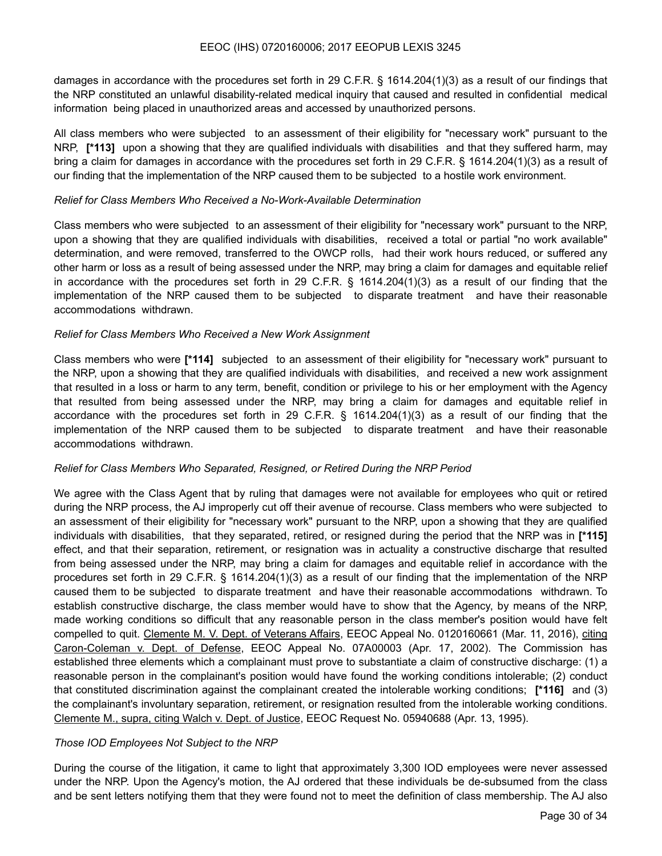damages in accordance with the procedures set forth in 29 C.F.R. § 1614.204(1)(3) as a result of our findings that the NRP constituted an unlawful disability-related medical inquiry that caused and resulted in confidential medical information being placed in unauthorized areas and accessed by unauthorized persons.

All class members who were subjected to an assessment of their eligibility for "necessary work" pursuant to the NRP, **[\*113]** upon a showing that they are qualified individuals with disabilities and that they suffered harm, may bring a claim for damages in accordance with the procedures set forth in 29 C.F.R. § 1614.204(1)(3) as a result of our finding that the implementation of the NRP caused them to be subjected to a hostile work environment.

#### *Relief for Class Members Who Received a No-Work-Available Determination*

Class members who were subjected to an assessment of their eligibility for "necessary work" pursuant to the NRP, upon a showing that they are qualified individuals with disabilities, received a total or partial "no work available" determination, and were removed, transferred to the OWCP rolls, had their work hours reduced, or suffered any other harm or loss as a result of being assessed under the NRP, may bring a claim for damages and equitable relief in accordance with the procedures set forth in 29 C.F.R. § 1614.204(1)(3) as a result of our finding that the implementation of the NRP caused them to be subjected to disparate treatment and have their reasonable accommodations withdrawn.

#### *Relief for Class Members Who Received a New Work Assignment*

Class members who were **[\*114]** subjected to an assessment of their eligibility for "necessary work" pursuant to the NRP, upon a showing that they are qualified individuals with disabilities, and received a new work assignment that resulted in a loss or harm to any term, benefit, condition or privilege to his or her employment with the Agency that resulted from being assessed under the NRP, may bring a claim for damages and equitable relief in accordance with the procedures set forth in 29 C.F.R. § 1614.204(1)(3) as a result of our finding that the implementation of the NRP caused them to be subjected to disparate treatment and have their reasonable accommodations withdrawn.

#### *Relief for Class Members Who Separated, Resigned, or Retired During the NRP Period*

We agree with the Class Agent that by ruling that damages were not available for employees who quit or retired during the NRP process, the AJ improperly cut off their avenue of recourse. Class members who were subjected to an assessment of their eligibility for "necessary work" pursuant to the NRP, upon a showing that they are qualified individuals with disabilities, that they separated, retired, or resigned during the period that the NRP was in **[\*115]**  effect, and that their separation, retirement, or resignation was in actuality a constructive discharge that resulted from being assessed under the NRP, may bring a claim for damages and equitable relief in accordance with the procedures set forth in 29 C.F.R. § 1614.204(1)(3) as a result of our finding that the implementation of the NRP caused them to be subjected to disparate treatment and have their reasonable accommodations withdrawn. To establish constructive discharge, the class member would have to show that the Agency, by means of the NRP, made working conditions so difficult that any reasonable person in the class member's position would have felt compelled to quit. Clemente M. V. Dept. of Veterans Affairs, EEOC Appeal No. 0120160661 (Mar. 11, 2016), citing Caron-Coleman v. Dept. of Defense, EEOC Appeal No. 07A00003 (Apr. 17, 2002). The Commission has established three elements which a complainant must prove to substantiate a claim of constructive discharge: (1) a reasonable person in the complainant's position would have found the working conditions intolerable; (2) conduct that constituted discrimination against the complainant created the intolerable working conditions; **[\*116]** and (3) the complainant's involuntary separation, retirement, or resignation resulted from the intolerable working conditions. Clemente M., supra, citing Walch v. Dept. of Justice, EEOC Request No. 05940688 (Apr. 13, 1995).

## *Those IOD Employees Not Subject to the NRP*

During the course of the litigation, it came to light that approximately 3,300 IOD employees were never assessed under the NRP. Upon the Agency's motion, the AJ ordered that these individuals be de-subsumed from the class and be sent letters notifying them that they were found not to meet the definition of class membership. The AJ also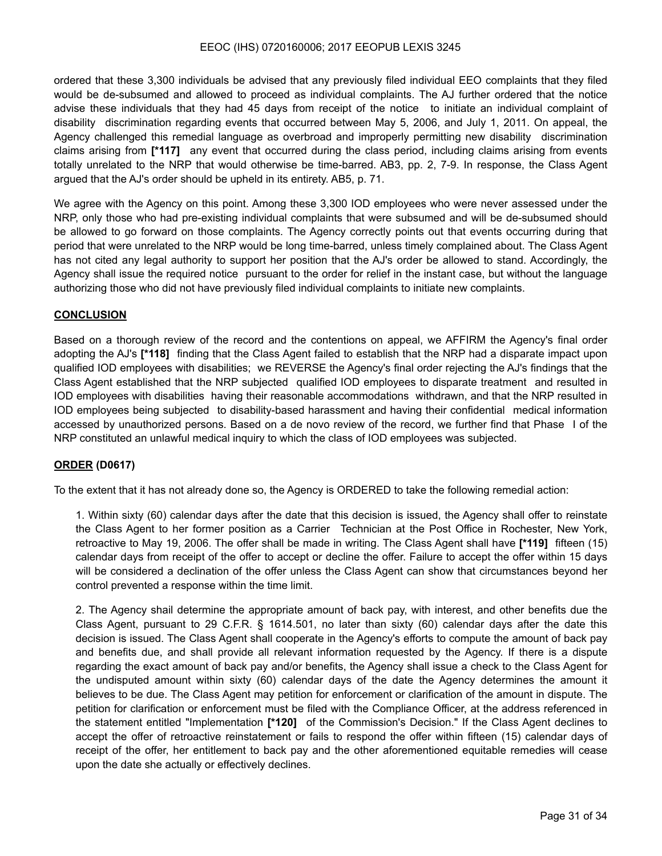ordered that these 3,300 individuals be advised that any previously filed individual EEO complaints that they filed would be de-subsumed and allowed to proceed as individual complaints. The AJ further ordered that the notice advise these individuals that they had 45 days from receipt of the notice to initiate an individual complaint of disability discrimination regarding events that occurred between May 5, 2006, and July 1, 2011. On appeal, the Agency challenged this remedial language as overbroad and improperly permitting new disability discrimination claims arising from **[\*117]** any event that occurred during the class period, including claims arising from events totally unrelated to the NRP that would otherwise be time-barred. AB3, pp. 2, 7-9. In response, the Class Agent argued that the AJ's order should be upheld in its entirety. AB5, p. 71.

We agree with the Agency on this point. Among these 3,300 IOD employees who were never assessed under the NRP, only those who had pre-existing individual complaints that were subsumed and will be de-subsumed should be allowed to go forward on those complaints. The Agency correctly points out that events occurring during that period that were unrelated to the NRP would be long time-barred, unless timely complained about. The Class Agent has not cited any legal authority to support her position that the AJ's order be allowed to stand. Accordingly, the Agency shall issue the required notice pursuant to the order for relief in the instant case, but without the language authorizing those who did not have previously filed individual complaints to initiate new complaints.

#### **CONCLUSION**

Based on a thorough review of the record and the contentions on appeal, we AFFIRM the Agency's final order adopting the AJ's **[\*118]** finding that the Class Agent failed to establish that the NRP had a disparate impact upon qualified IOD employees with disabilities; we REVERSE the Agency's final order rejecting the AJ's findings that the Class Agent established that the NRP subjected qualified IOD employees to disparate treatment and resulted in IOD employees with disabilities having their reasonable accommodations withdrawn, and that the NRP resulted in IOD employees being subjected to disability-based harassment and having their confidential medical information accessed by unauthorized persons. Based on a de novo review of the record, we further find that Phase I of the NRP constituted an unlawful medical inquiry to which the class of IOD employees was subjected.

## **ORDER (D0617)**

To the extent that it has not already done so, the Agency is ORDERED to take the following remedial action:

1. Within sixty (60) calendar days after the date that this decision is issued, the Agency shall offer to reinstate the Class Agent to her former position as a Carrier Technician at the Post Office in Rochester, New York, retroactive to May 19, 2006. The offer shall be made in writing. The Class Agent shall have **[\*119]** fifteen (15) calendar days from receipt of the offer to accept or decline the offer. Failure to accept the offer within 15 days will be considered a declination of the offer unless the Class Agent can show that circumstances beyond her control prevented a response within the time limit.

2. The Agency shail determine the appropriate amount of back pay, with interest, and other benefits due the Class Agent, pursuant to 29 C.F.R. § 1614.501, no later than sixty (60) calendar days after the date this decision is issued. The Class Agent shall cooperate in the Agency's efforts to compute the amount of back pay and benefits due, and shall provide all relevant information requested by the Agency. If there is a dispute regarding the exact amount of back pay and/or benefits, the Agency shall issue a check to the Class Agent for the undisputed amount within sixty (60) calendar days of the date the Agency determines the amount it believes to be due. The Class Agent may petition for enforcement or clarification of the amount in dispute. The petition for clarification or enforcement must be filed with the Compliance Officer, at the address referenced in the statement entitled "Implementation **[\*120]** of the Commission's Decision." If the Class Agent declines to accept the offer of retroactive reinstatement or fails to respond the offer within fifteen (15) calendar days of receipt of the offer, her entitlement to back pay and the other aforementioned equitable remedies will cease upon the date she actually or effectively declines.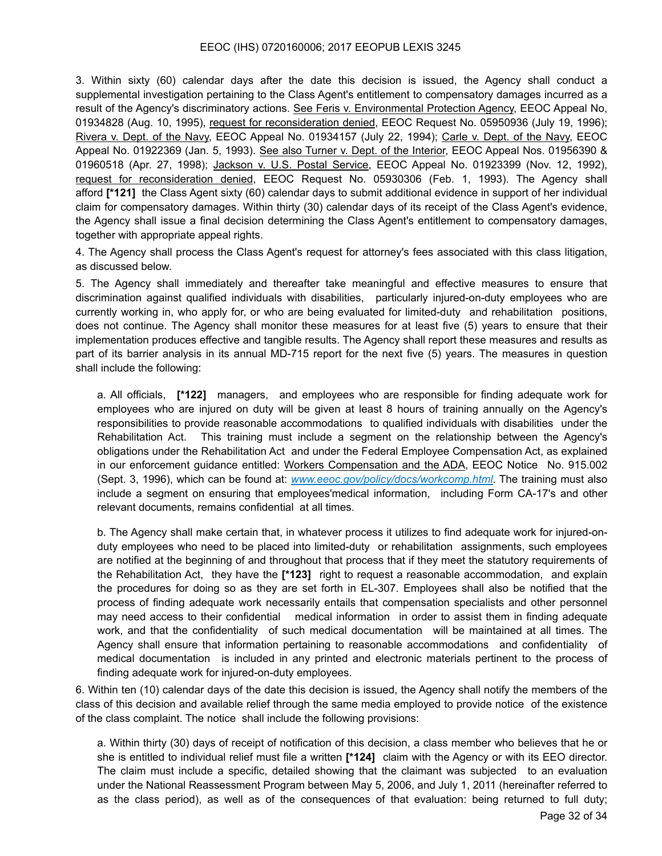3. Within sixty (60) calendar days after the date this decision is issued, the Agency shall conduct a supplemental investigation pertaining to the Class Agent's entitlement to compensatory damages incurred as a result of the Agency's discriminatory actions. See Feris v. Environmental Protection Agency, EEOC Appeal No, 01934828 (Aug. 10, 1995), request for reconsideration denied, EEOC Request No. 05950936 (July 19, 1996); Rivera v. Dept. of the Navy, EEOC Appeal No. 01934157 (July 22, 1994); Carle v. Dept. of the Navy, EEOC Appeal No. 01922369 (Jan. 5, 1993). See also Turner v. Dept. of the Interior, EEOC Appeal Nos. 01956390 & 01960518 (Apr. 27, 1998); Jackson v. U.S. Postal Service, EEOC Appeal No. 01923399 (Nov. 12, 1992), request for reconsideration denied, EEOC Request No. 05930306 (Feb. 1, 1993). The Agency shall afford **[\*121]** the Class Agent sixty (60) calendar days to submit additional evidence in support of her individual claim for compensatory damages. Within thirty (30) calendar days of its receipt of the Class Agent's evidence, the Agency shall issue a final decision determining the Class Agent's entitlement to compensatory damages, together with appropriate appeal rights.

4. The Agency shall process the Class Agent's request for attorney's fees associated with this class litigation, as discussed below.

5. The Agency shall immediately and thereafter take meaningful and effective measures to ensure that discrimination against qualified individuals with disabilities, particularly injured-on-duty employees who are currently working in, who apply for, or who are being evaluated for limited-duty and rehabilitation positions, does not continue. The Agency shall monitor these measures for at least five (5) years to ensure that their implementation produces effective and tangible results. The Agency shall report these measures and results as part of its barrier analysis in its annual MD-715 report for the next five (5) years. The measures in question shall include the following:

a. All officials, **[\*122]** managers, and employees who are responsible for finding adequate work for employees who are injured on duty will be given at least 8 hours of training annually on the Agency's responsibilities to provide reasonable accommodations to qualified individuals with disabilities under the Rehabilitation Act. This training must include a segment on the relationship between the Agency's obligations under the Rehabilitation Act and under the Federal Employee Compensation Act, as explained in our enforcement guidance entitled: Workers Compensation and the ADA, EEOC Notice No. 915.002 (Sept. 3, 1996), which can be found at: *www.eeoc.gov/policy/docs/workcomp.html*. The training must also include a segment on ensuring that employees'medical information, including Form CA-17's and other relevant documents, remains confidential at all times.

b. The Agency shall make certain that, in whatever process it utilizes to find adequate work for injured-onduty employees who need to be placed into limited-duty or rehabilitation assignments, such employees are notified at the beginning of and throughout that process that if they meet the statutory requirements of the Rehabilitation Act, they have the **[\*123]** right to request a reasonable accommodation, and explain the procedures for doing so as they are set forth in EL-307. Employees shall also be notified that the process of finding adequate work necessarily entails that compensation specialists and other personnel may need access to their confidential medical information in order to assist them in finding adequate work, and that the confidentiality of such medical documentation will be maintained at all times. The Agency shall ensure that information pertaining to reasonable accommodations and confidentiality of medical documentation is included in any printed and electronic materials pertinent to the process of finding adequate work for injured-on-duty employees.

6. Within ten (10) calendar days of the date this decision is issued, the Agency shall notify the members of the class of this decision and available relief through the same media employed to provide notice of the existence of the class complaint. The notice shall include the following provisions:

a. Within thirty (30) days of receipt of notification of this decision, a class member who believes that he or she is entitled to individual relief must file a written **[\*124]** claim with the Agency or with its EEO director. The claim must include a specific, detailed showing that the claimant was subjected to an evaluation under the National Reassessment Program between May 5, 2006, and July 1, 2011 (hereinafter referred to as the class period), as well as of the consequences of that evaluation: being returned to full duty;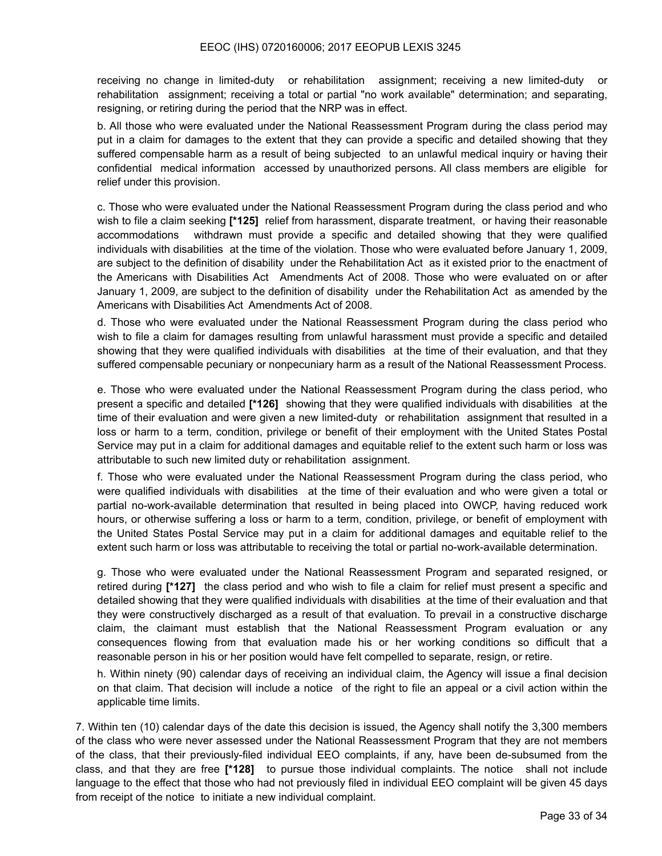receiving no change in limited-duty or rehabilitation assignment; receiving a new limited-duty or rehabilitation assignment; receiving a total or partial "no work available" determination; and separating, resigning, or retiring during the period that the NRP was in effect.

b. All those who were evaluated under the National Reassessment Program during the class period may put in a claim for damages to the extent that they can provide a specific and detailed showing that they suffered compensable harm as a result of being subjected to an unlawful medical inquiry or having their confidential medical information accessed by unauthorized persons. All class members are eligible for relief under this provision.

c. Those who were evaluated under the National Reassessment Program during the class period and who wish to file a claim seeking **[\*125]** relief from harassment, disparate treatment, or having their reasonable accommodations withdrawn must provide a specific and detailed showing that they were qualified individuals with disabilities at the time of the violation. Those who were evaluated before January 1, 2009, are subject to the definition of disability under the Rehabilitation Act as it existed prior to the enactment of the Americans with Disabilities Act Amendments Act of 2008. Those who were evaluated on or after January 1, 2009, are subject to the definition of disability under the Rehabilitation Act as amended by the Americans with Disabilities Act Amendments Act of 2008.

d. Those who were evaluated under the National Reassessment Program during the class period who wish to file a claim for damages resulting from unlawful harassment must provide a specific and detailed showing that they were qualified individuals with disabilities at the time of their evaluation, and that they suffered compensable pecuniary or nonpecuniary harm as a result of the National Reassessment Process.

e. Those who were evaluated under the National Reassessment Program during the class period, who present a specific and detailed **[\*126]** showing that they were qualified individuals with disabilities at the time of their evaluation and were given a new limited-duty or rehabilitation assignment that resulted in a loss or harm to a term, condition, privilege or benefit of their employment with the United States Postal Service may put in a claim for additional damages and equitable relief to the extent such harm or loss was attributable to such new limited duty or rehabilitation assignment.

f. Those who were evaluated under the National Reassessment Program during the class period, who were qualified individuals with disabilities at the time of their evaluation and who were given a total or partial no-work-available determination that resulted in being placed into OWCP, having reduced work hours, or otherwise suffering a loss or harm to a term, condition, privilege, or benefit of employment with the United States Postal Service may put in a claim for additional damages and equitable relief to the extent such harm or loss was attributable to receiving the total or partial no-work-available determination.

g. Those who were evaluated under the National Reassessment Program and separated resigned, or retired during **[\*127]** the class period and who wish to file a claim for relief must present a specific and detailed showing that they were qualified individuals with disabilities at the time of their evaluation and that they were constructively discharged as a result of that evaluation. To prevail in a constructive discharge claim, the claimant must establish that the National Reassessment Program evaluation or any consequences flowing from that evaluation made his or her working conditions so difficult that a reasonable person in his or her position would have felt compelled to separate, resign, or retire.

h. Within ninety (90) calendar days of receiving an individual claim, the Agency will issue a final decision on that claim. That decision will include a notice of the right to file an appeal or a civil action within the applicable time limits.

7. Within ten (10) calendar days of the date this decision is issued, the Agency shall notify the 3,300 members of the class who were never assessed under the National Reassessment Program that they are not members of the class, that their previously-filed individual EEO complaints, if any, have been de-subsumed from the class, and that they are free **[\*128]** to pursue those individual complaints. The notice shall not include language to the effect that those who had not previously filed in individual EEO complaint will be given 45 days from receipt of the notice to initiate a new individual complaint.